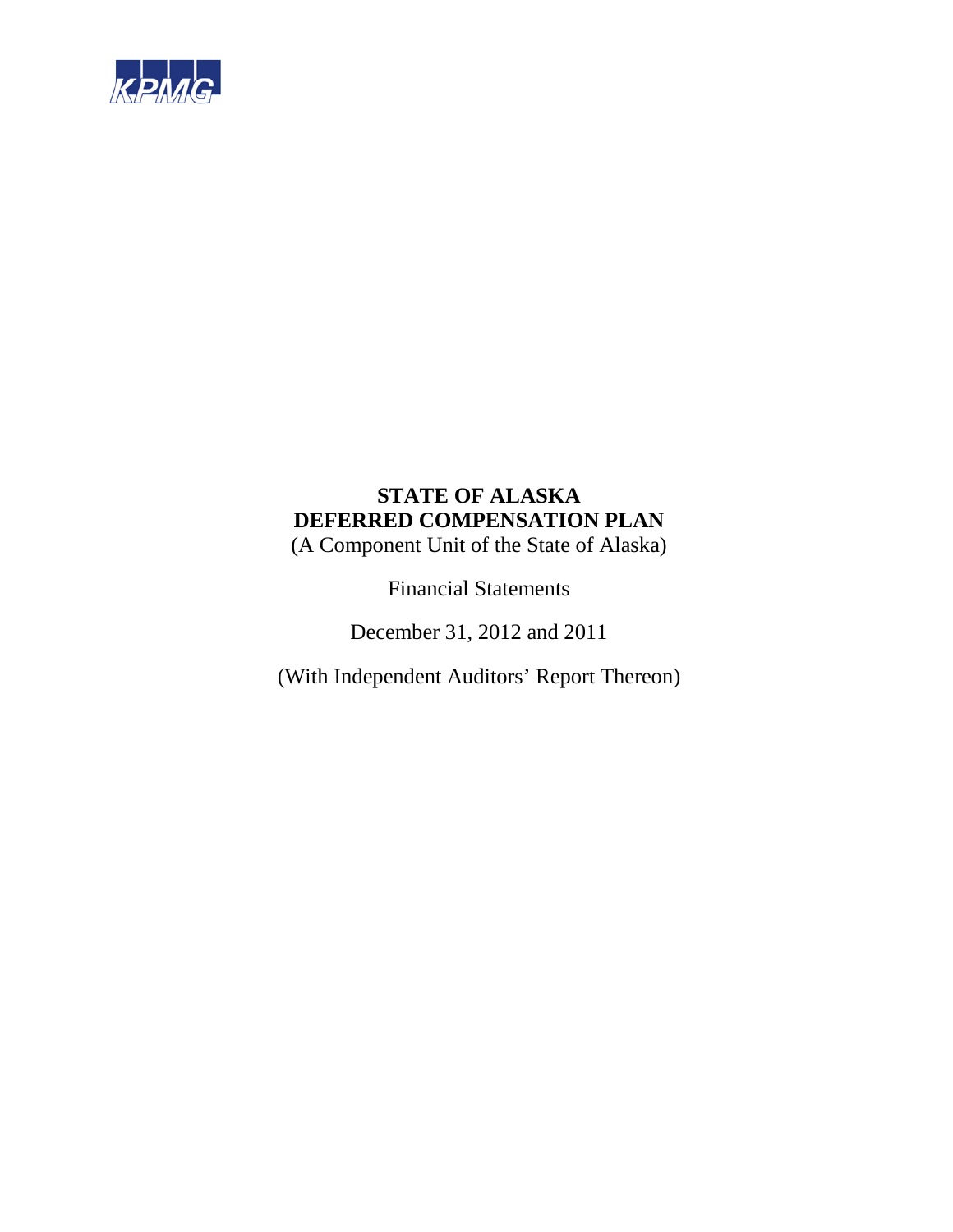

Financial Statements

December 31, 2012 and 2011

(With Independent Auditors' Report Thereon)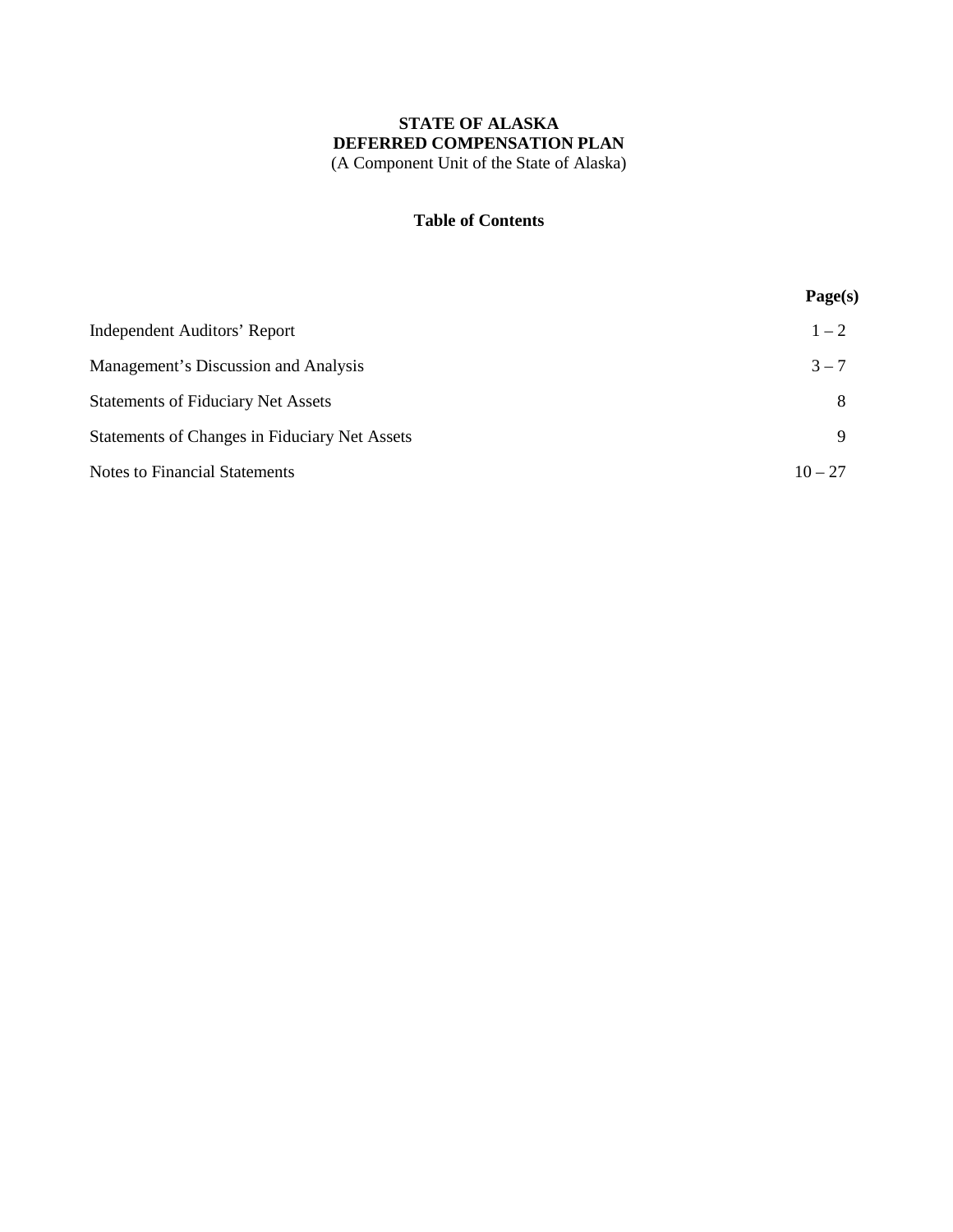## **Table of Contents**

|                                               | Page(s)   |
|-----------------------------------------------|-----------|
| Independent Auditors' Report                  | $1 - 2$   |
| Management's Discussion and Analysis          | $3 - 7$   |
| <b>Statements of Fiduciary Net Assets</b>     |           |
| Statements of Changes in Fiduciary Net Assets | Q         |
| <b>Notes to Financial Statements</b>          | $10 - 27$ |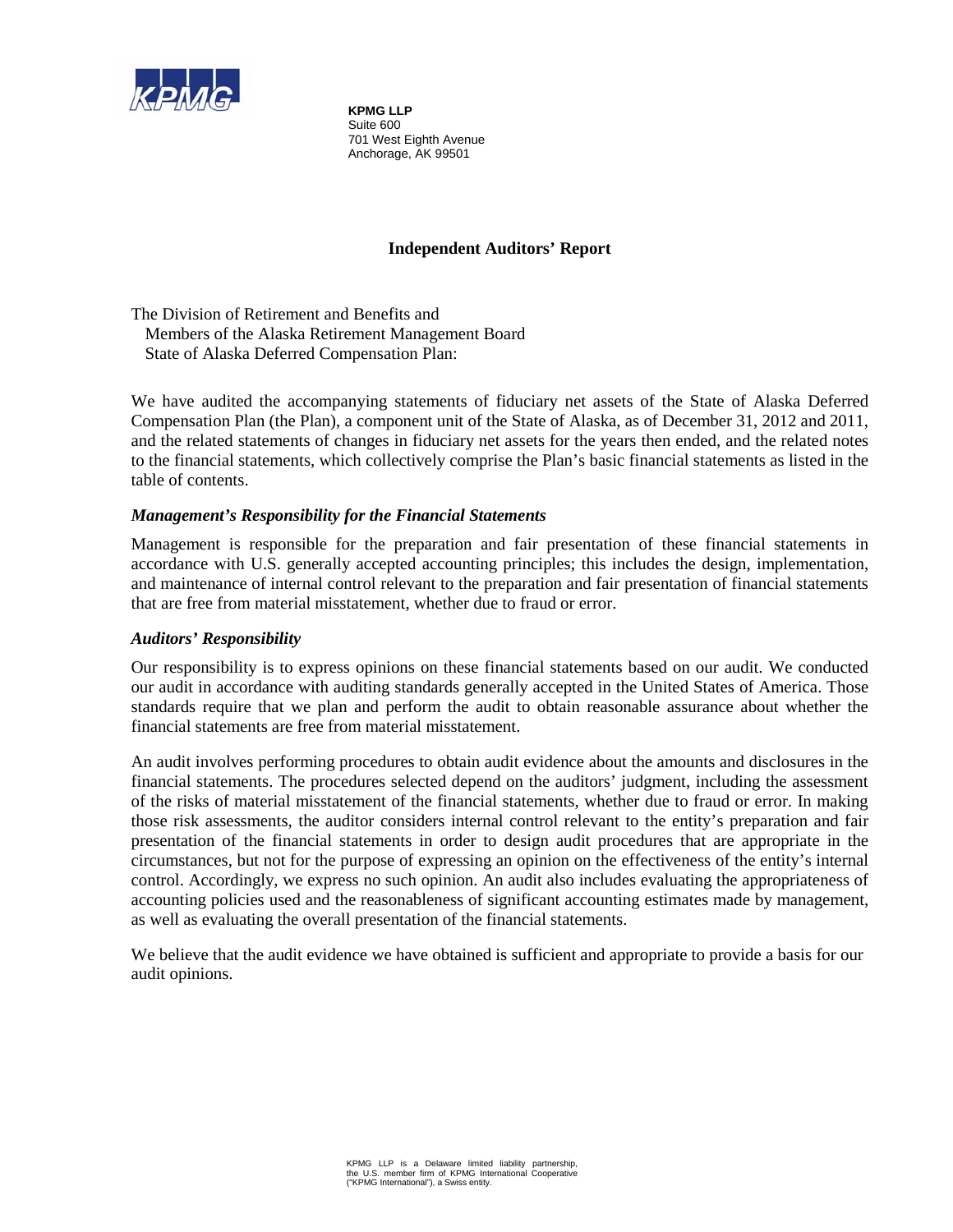

**KPMG LLP**  Suite 600 701 West Eighth Avenue Anchorage, AK 99501

## **Independent Auditors' Report**

The Division of Retirement and Benefits and Members of the Alaska Retirement Management Board State of Alaska Deferred Compensation Plan:

We have audited the accompanying statements of fiduciary net assets of the State of Alaska Deferred Compensation Plan (the Plan), a component unit of the State of Alaska, as of December 31, 2012 and 2011, and the related statements of changes in fiduciary net assets for the years then ended, and the related notes to the financial statements, which collectively comprise the Plan's basic financial statements as listed in the table of contents.

## *Management's Responsibility for the Financial Statements*

Management is responsible for the preparation and fair presentation of these financial statements in accordance with U.S. generally accepted accounting principles; this includes the design, implementation, and maintenance of internal control relevant to the preparation and fair presentation of financial statements that are free from material misstatement, whether due to fraud or error.

## *Auditors' Responsibility*

Our responsibility is to express opinions on these financial statements based on our audit. We conducted our audit in accordance with auditing standards generally accepted in the United States of America. Those standards require that we plan and perform the audit to obtain reasonable assurance about whether the financial statements are free from material misstatement.

An audit involves performing procedures to obtain audit evidence about the amounts and disclosures in the financial statements. The procedures selected depend on the auditors' judgment, including the assessment of the risks of material misstatement of the financial statements, whether due to fraud or error. In making those risk assessments, the auditor considers internal control relevant to the entity's preparation and fair presentation of the financial statements in order to design audit procedures that are appropriate in the circumstances, but not for the purpose of expressing an opinion on the effectiveness of the entity's internal control. Accordingly, we express no such opinion. An audit also includes evaluating the appropriateness of accounting policies used and the reasonableness of significant accounting estimates made by management, as well as evaluating the overall presentation of the financial statements.

We believe that the audit evidence we have obtained is sufficient and appropriate to provide a basis for our audit opinions.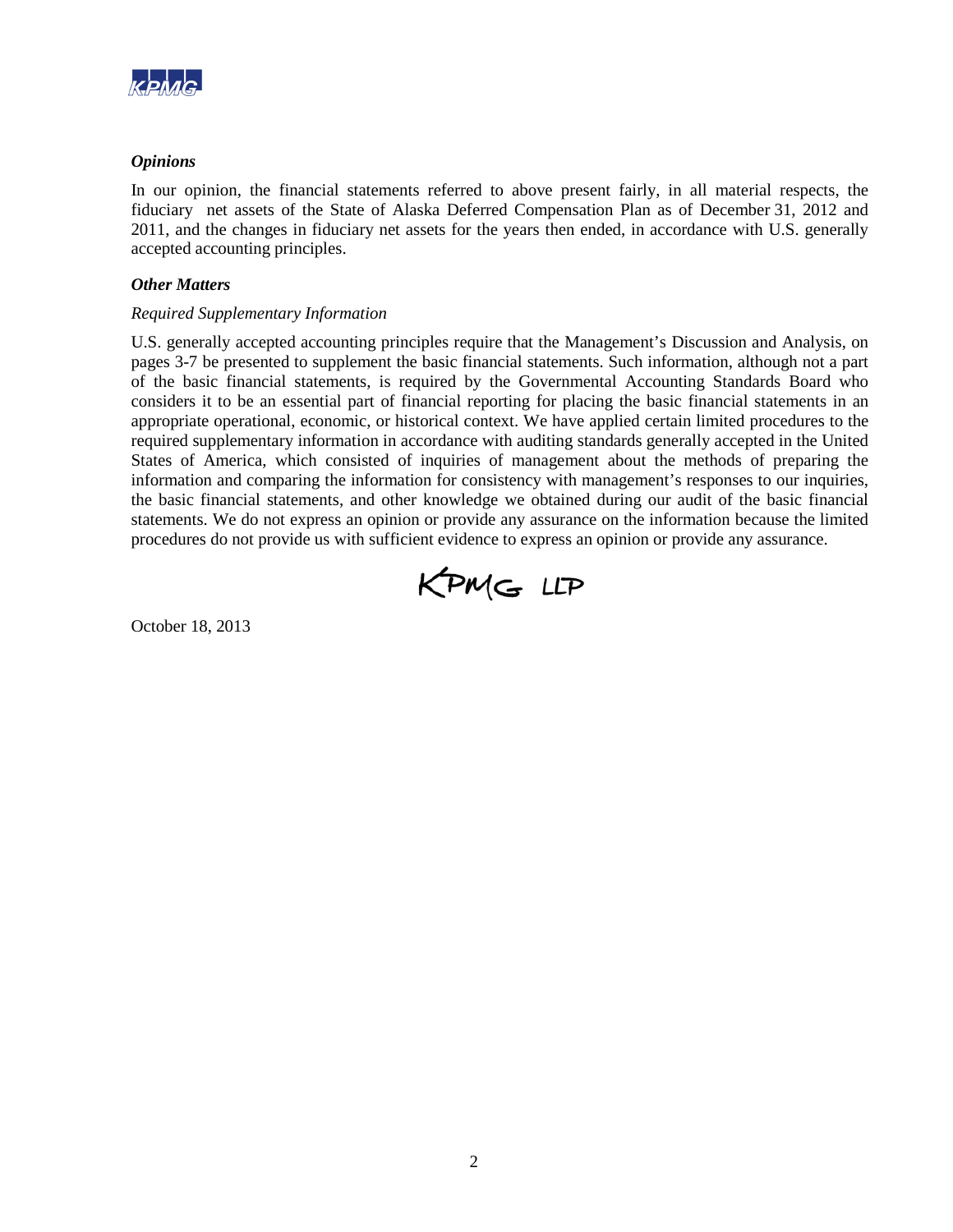

## *Opinions*

In our opinion, the financial statements referred to above present fairly, in all material respects, the fiduciary net assets of the State of Alaska Deferred Compensation Plan as of December 31, 2012 and 2011, and the changes in fiduciary net assets for the years then ended, in accordance with U.S. generally accepted accounting principles.

## *Other Matters*

## *Required Supplementary Information*

U.S. generally accepted accounting principles require that the Management's Discussion and Analysis, on pages 3-7 be presented to supplement the basic financial statements. Such information, although not a part of the basic financial statements, is required by the Governmental Accounting Standards Board who considers it to be an essential part of financial reporting for placing the basic financial statements in an appropriate operational, economic, or historical context. We have applied certain limited procedures to the required supplementary information in accordance with auditing standards generally accepted in the United States of America, which consisted of inquiries of management about the methods of preparing the information and comparing the information for consistency with management's responses to our inquiries, the basic financial statements, and other knowledge we obtained during our audit of the basic financial statements. We do not express an opinion or provide any assurance on the information because the limited procedures do not provide us with sufficient evidence to express an opinion or provide any assurance.



October 18, 2013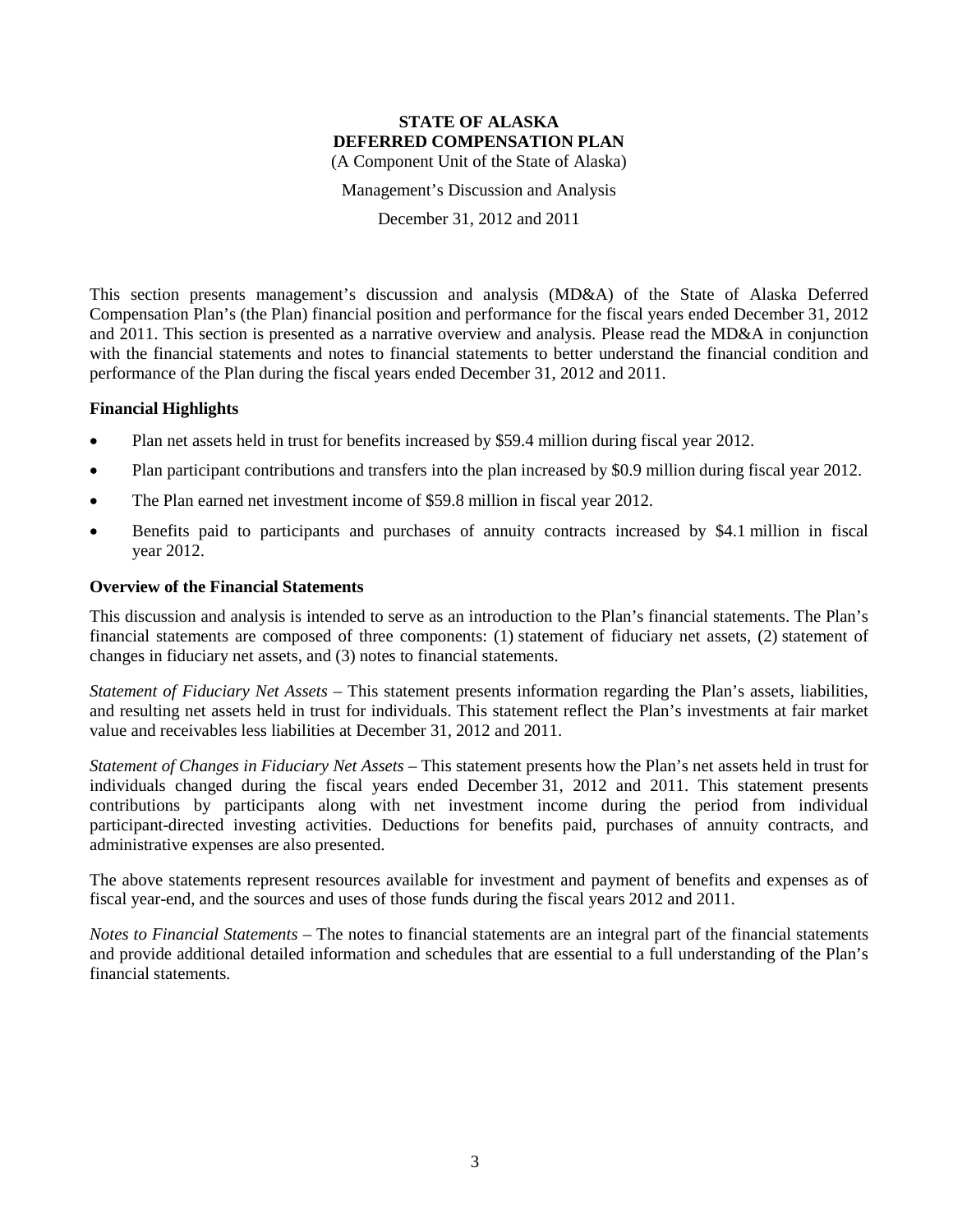Management's Discussion and Analysis

December 31, 2012 and 2011

This section presents management's discussion and analysis (MD&A) of the State of Alaska Deferred Compensation Plan's (the Plan) financial position and performance for the fiscal years ended December 31, 2012 and 2011. This section is presented as a narrative overview and analysis. Please read the MD&A in conjunction with the financial statements and notes to financial statements to better understand the financial condition and performance of the Plan during the fiscal years ended December 31, 2012 and 2011.

## **Financial Highlights**

- Plan net assets held in trust for benefits increased by \$59.4 million during fiscal year 2012.
- Plan participant contributions and transfers into the plan increased by \$0.9 million during fiscal year 2012.
- The Plan earned net investment income of \$59.8 million in fiscal year 2012.
- Benefits paid to participants and purchases of annuity contracts increased by \$4.1 million in fiscal year 2012.

#### **Overview of the Financial Statements**

This discussion and analysis is intended to serve as an introduction to the Plan's financial statements. The Plan's financial statements are composed of three components: (1) statement of fiduciary net assets, (2) statement of changes in fiduciary net assets, and (3) notes to financial statements.

*Statement of Fiduciary Net Assets* – This statement presents information regarding the Plan's assets, liabilities, and resulting net assets held in trust for individuals. This statement reflect the Plan's investments at fair market value and receivables less liabilities at December 31, 2012 and 2011.

*Statement of Changes in Fiduciary Net Assets* – This statement presents how the Plan's net assets held in trust for individuals changed during the fiscal years ended December 31, 2012 and 2011. This statement presents contributions by participants along with net investment income during the period from individual participant-directed investing activities. Deductions for benefits paid, purchases of annuity contracts, and administrative expenses are also presented.

The above statements represent resources available for investment and payment of benefits and expenses as of fiscal year-end, and the sources and uses of those funds during the fiscal years 2012 and 2011.

*Notes to Financial Statements* – The notes to financial statements are an integral part of the financial statements and provide additional detailed information and schedules that are essential to a full understanding of the Plan's financial statements.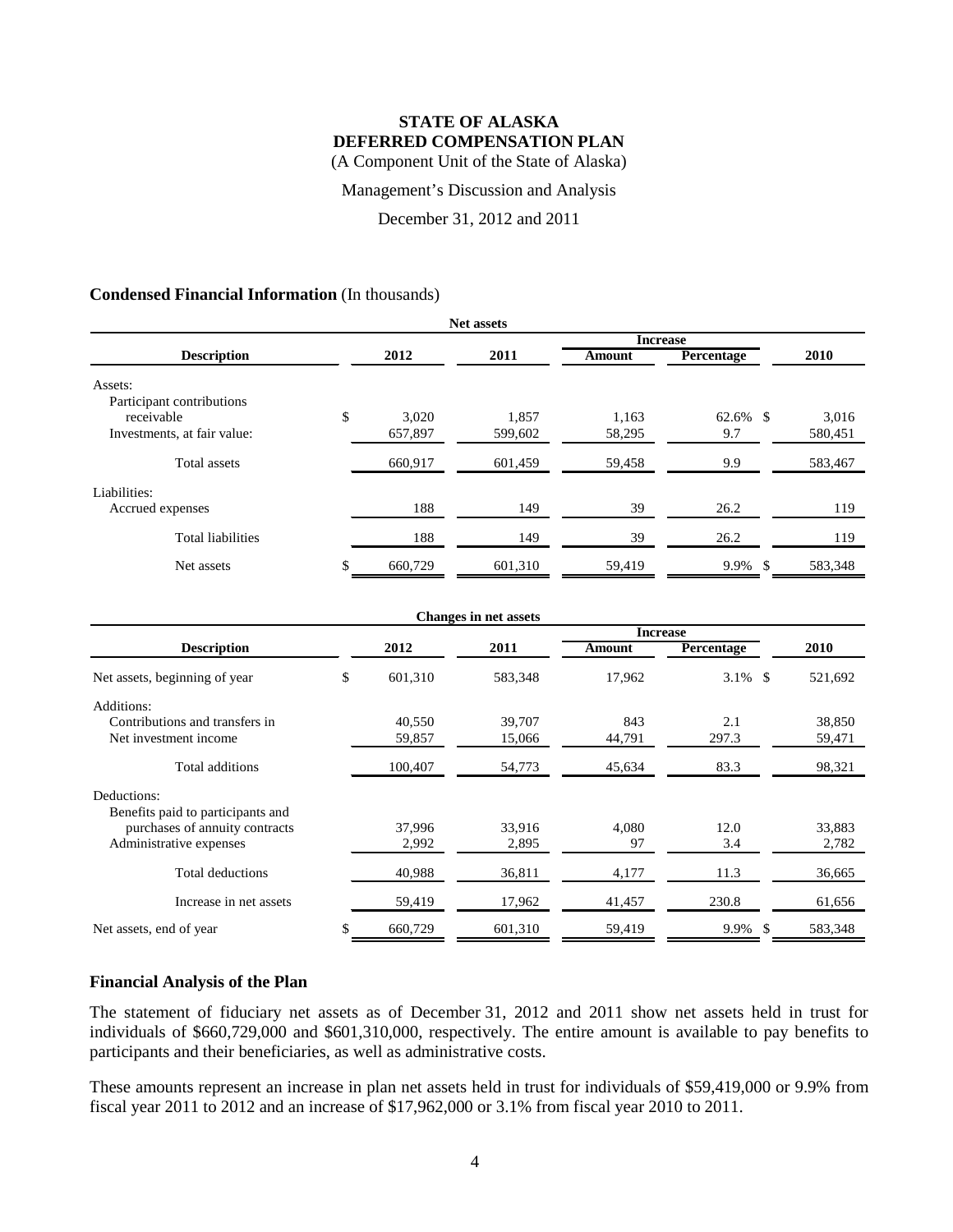Management's Discussion and Analysis

December 31, 2012 and 2011

## **Condensed Financial Information** (In thousands)

| <b>Net assets</b>                         |    |                  |                  |                 |                 |                  |
|-------------------------------------------|----|------------------|------------------|-----------------|-----------------|------------------|
|                                           |    |                  |                  | <b>Increase</b> |                 |                  |
| <b>Description</b>                        |    | 2012             | 2011             | Amount          | Percentage      | 2010             |
| Assets:<br>Participant contributions      |    |                  |                  |                 |                 |                  |
| receivable<br>Investments, at fair value: | \$ | 3.020<br>657,897 | 1,857<br>599,602 | 1,163<br>58,295 | 62.6% \$<br>9.7 | 3,016<br>580,451 |
| Total assets                              |    | 660,917          | 601,459          | 59,458          | 9.9             | 583,467          |
| Liabilities:<br>Accrued expenses          |    | 188              | 149              | 39              | 26.2            | 119              |
| <b>Total liabilities</b>                  |    | 188              | 149              | 39              | 26.2            | 119              |
| Net assets                                | \$ | 660,729          | 601,310          | 59,419          | $9.9\%$ \$      | 583,348          |

| <b>Changes in net assets</b>      |    |         |         |          |            |         |
|-----------------------------------|----|---------|---------|----------|------------|---------|
|                                   |    |         |         | Increase |            |         |
| <b>Description</b>                |    | 2012    | 2011    | Amount   | Percentage | 2010    |
| Net assets, beginning of year     | \$ | 601,310 | 583,348 | 17,962   | $3.1\%$ \$ | 521,692 |
| Additions:                        |    |         |         |          |            |         |
| Contributions and transfers in    |    | 40.550  | 39,707  | 843      | 2.1        | 38,850  |
| Net investment income             |    | 59,857  | 15,066  | 44,791   | 297.3      | 59,471  |
| Total additions                   |    | 100,407 | 54,773  | 45,634   | 83.3       | 98,321  |
| Deductions:                       |    |         |         |          |            |         |
| Benefits paid to participants and |    |         |         |          |            |         |
| purchases of annuity contracts    |    | 37,996  | 33,916  | 4,080    | 12.0       | 33,883  |
| Administrative expenses           |    | 2,992   | 2,895   | 97       | 3.4        | 2,782   |
| Total deductions                  |    | 40,988  | 36,811  | 4,177    | 11.3       | 36,665  |
| Increase in net assets            |    | 59,419  | 17,962  | 41,457   | 230.8      | 61,656  |
| Net assets, end of year           | \$ | 660,729 | 601,310 | 59,419   | 9.9%<br>-S | 583,348 |

#### **Financial Analysis of the Plan**

The statement of fiduciary net assets as of December 31, 2012 and 2011 show net assets held in trust for individuals of \$660,729,000 and \$601,310,000, respectively. The entire amount is available to pay benefits to participants and their beneficiaries, as well as administrative costs.

These amounts represent an increase in plan net assets held in trust for individuals of \$59,419,000 or 9.9% from fiscal year 2011 to 2012 and an increase of \$17,962,000 or 3.1% from fiscal year 2010 to 2011.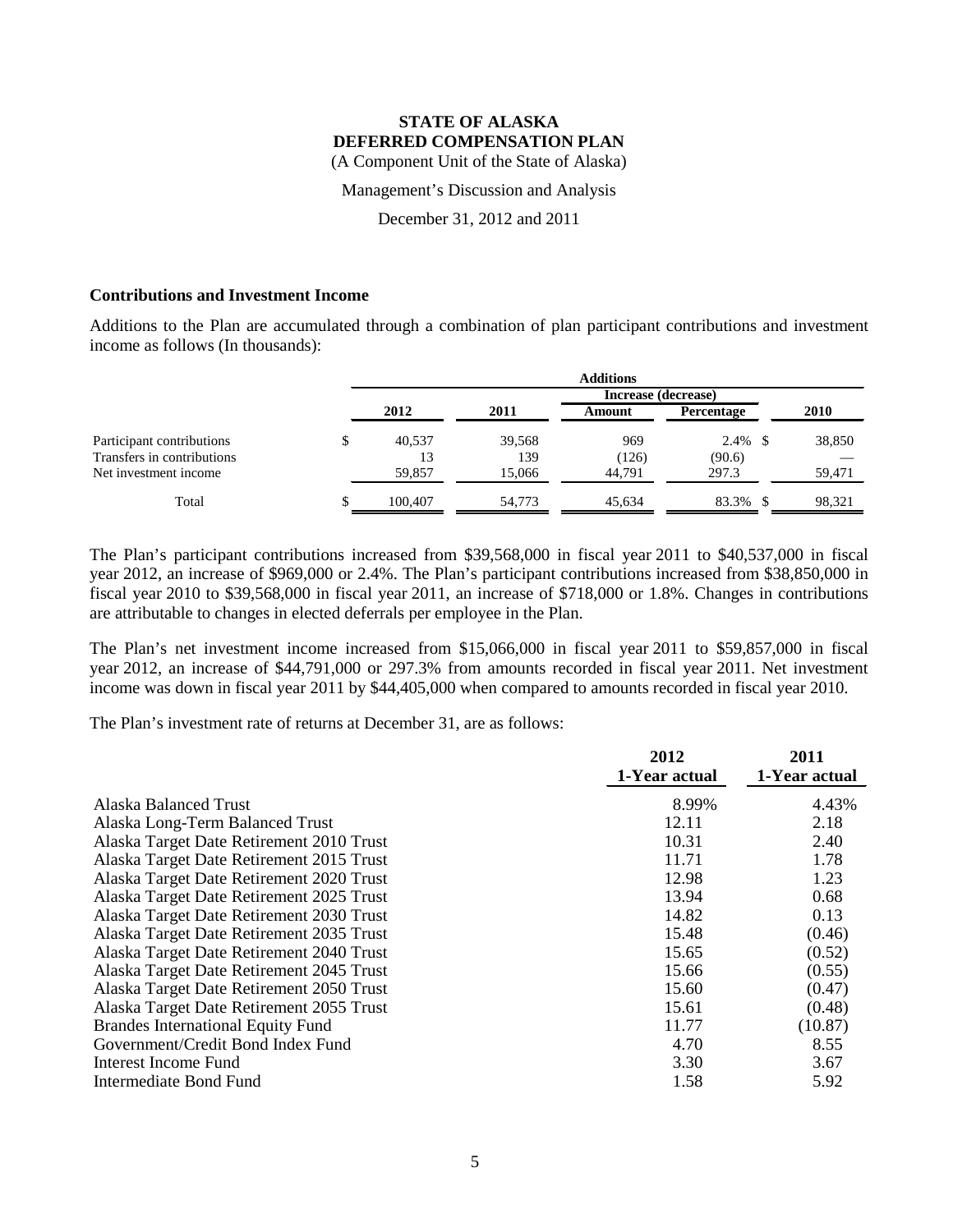Management's Discussion and Analysis

December 31, 2012 and 2011

#### **Contributions and Investment Income**

Additions to the Plan are accumulated through a combination of plan participant contributions and investment income as follows (In thousands):

|                            | <b>Additions</b> |        |                     |            |        |
|----------------------------|------------------|--------|---------------------|------------|--------|
|                            |                  |        | Increase (decrease) |            |        |
|                            | 2012             | 2011   | Amount              | Percentage | 2010   |
| Participant contributions  | \$<br>40,537     | 39,568 | 969                 | 2.4% \$    | 38,850 |
| Transfers in contributions | 13               | 139    | (126)               | (90.6)     |        |
| Net investment income      | 59.857           | 15,066 | 44.791              | 297.3      | 59,471 |
| Total                      | 100,407          | 54,773 | 45.634              | 83.3%      | 98,321 |

The Plan's participant contributions increased from \$39,568,000 in fiscal year 2011 to \$40,537,000 in fiscal year 2012, an increase of \$969,000 or 2.4%. The Plan's participant contributions increased from \$38,850,000 in fiscal year 2010 to \$39,568,000 in fiscal year 2011, an increase of \$718,000 or 1.8%. Changes in contributions are attributable to changes in elected deferrals per employee in the Plan.

The Plan's net investment income increased from \$15,066,000 in fiscal year 2011 to \$59,857,000 in fiscal year 2012, an increase of \$44,791,000 or 297.3% from amounts recorded in fiscal year 2011. Net investment income was down in fiscal year 2011 by \$44,405,000 when compared to amounts recorded in fiscal year 2010.

The Plan's investment rate of returns at December 31, are as follows:

|                                          | 2012<br>1-Year actual | 2011<br>1-Year actual |
|------------------------------------------|-----------------------|-----------------------|
|                                          |                       |                       |
| <b>Alaska Balanced Trust</b>             | 8.99%                 | 4.43%                 |
| Alaska Long-Term Balanced Trust          | 12.11                 | 2.18                  |
| Alaska Target Date Retirement 2010 Trust | 10.31                 | 2.40                  |
| Alaska Target Date Retirement 2015 Trust | 11.71                 | 1.78                  |
| Alaska Target Date Retirement 2020 Trust | 12.98                 | 1.23                  |
| Alaska Target Date Retirement 2025 Trust | 13.94                 | 0.68                  |
| Alaska Target Date Retirement 2030 Trust | 14.82                 | 0.13                  |
| Alaska Target Date Retirement 2035 Trust | 15.48                 | (0.46)                |
| Alaska Target Date Retirement 2040 Trust | 15.65                 | (0.52)                |
| Alaska Target Date Retirement 2045 Trust | 15.66                 | (0.55)                |
| Alaska Target Date Retirement 2050 Trust | 15.60                 | (0.47)                |
| Alaska Target Date Retirement 2055 Trust | 15.61                 | (0.48)                |
| <b>Brandes International Equity Fund</b> | 11.77                 | (10.87)               |
| Government/Credit Bond Index Fund        | 4.70                  | 8.55                  |
| Interest Income Fund                     | 3.30                  | 3.67                  |
| Intermediate Bond Fund                   | 1.58                  | 5.92                  |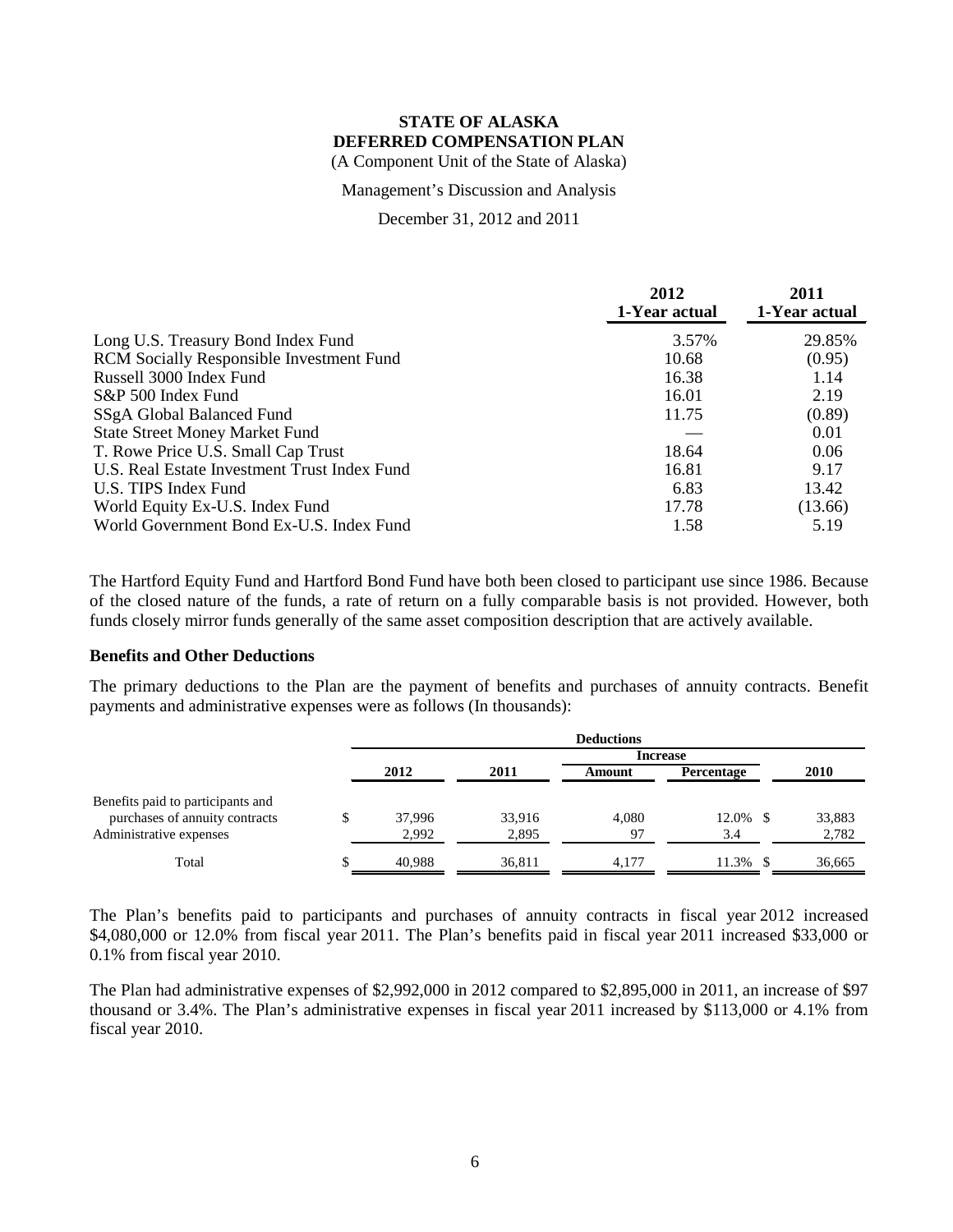(A Component Unit of the State of Alaska)

## Management's Discussion and Analysis

December 31, 2012 and 2011

|                                              | 2012<br>1-Year actual | 2011<br>1-Year actual |
|----------------------------------------------|-----------------------|-----------------------|
| Long U.S. Treasury Bond Index Fund           | 3.57%                 | 29.85%                |
| RCM Socially Responsible Investment Fund     | 10.68                 | (0.95)                |
| Russell 3000 Index Fund                      | 16.38                 | 1.14                  |
| S&P 500 Index Fund                           | 16.01                 | 2.19                  |
| SSgA Global Balanced Fund                    | 11.75                 | (0.89)                |
| <b>State Street Money Market Fund</b>        |                       | 0.01                  |
| T. Rowe Price U.S. Small Cap Trust           | 18.64                 | 0.06                  |
| U.S. Real Estate Investment Trust Index Fund | 16.81                 | 9.17                  |
| U.S. TIPS Index Fund                         | 6.83                  | 13.42                 |
| World Equity Ex-U.S. Index Fund              | 17.78                 | (13.66)               |
| World Government Bond Ex-U.S. Index Fund     | 1.58                  | 5.19                  |

The Hartford Equity Fund and Hartford Bond Fund have both been closed to participant use since 1986. Because of the closed nature of the funds, a rate of return on a fully comparable basis is not provided. However, both funds closely mirror funds generally of the same asset composition description that are actively available.

#### **Benefits and Other Deductions**

The primary deductions to the Plan are the payment of benefits and purchases of annuity contracts. Benefit payments and administrative expenses were as follows (In thousands):

|                                                                                                |    | <b>Deductions</b> |                 |                 |                 |                 |
|------------------------------------------------------------------------------------------------|----|-------------------|-----------------|-----------------|-----------------|-----------------|
|                                                                                                |    |                   |                 | <b>Increase</b> |                 |                 |
|                                                                                                |    | 2012              | 2011            | Amount          | Percentage      | 2010            |
| Benefits paid to participants and<br>purchases of annuity contracts<br>Administrative expenses |    | 37.996<br>2.992   | 33.916<br>2,895 | 4.080<br>-97    | 12.0% \$<br>3.4 | 33,883<br>2,782 |
| Total                                                                                          | ыD | 40.988            | 36,811          | 4.177           | $11.3\%$ \$     | 36,665          |

The Plan's benefits paid to participants and purchases of annuity contracts in fiscal year 2012 increased \$4,080,000 or 12.0% from fiscal year 2011. The Plan's benefits paid in fiscal year 2011 increased \$33,000 or 0.1% from fiscal year 2010.

The Plan had administrative expenses of \$2,992,000 in 2012 compared to \$2,895,000 in 2011, an increase of \$97 thousand or 3.4%. The Plan's administrative expenses in fiscal year 2011 increased by \$113,000 or 4.1% from fiscal year 2010.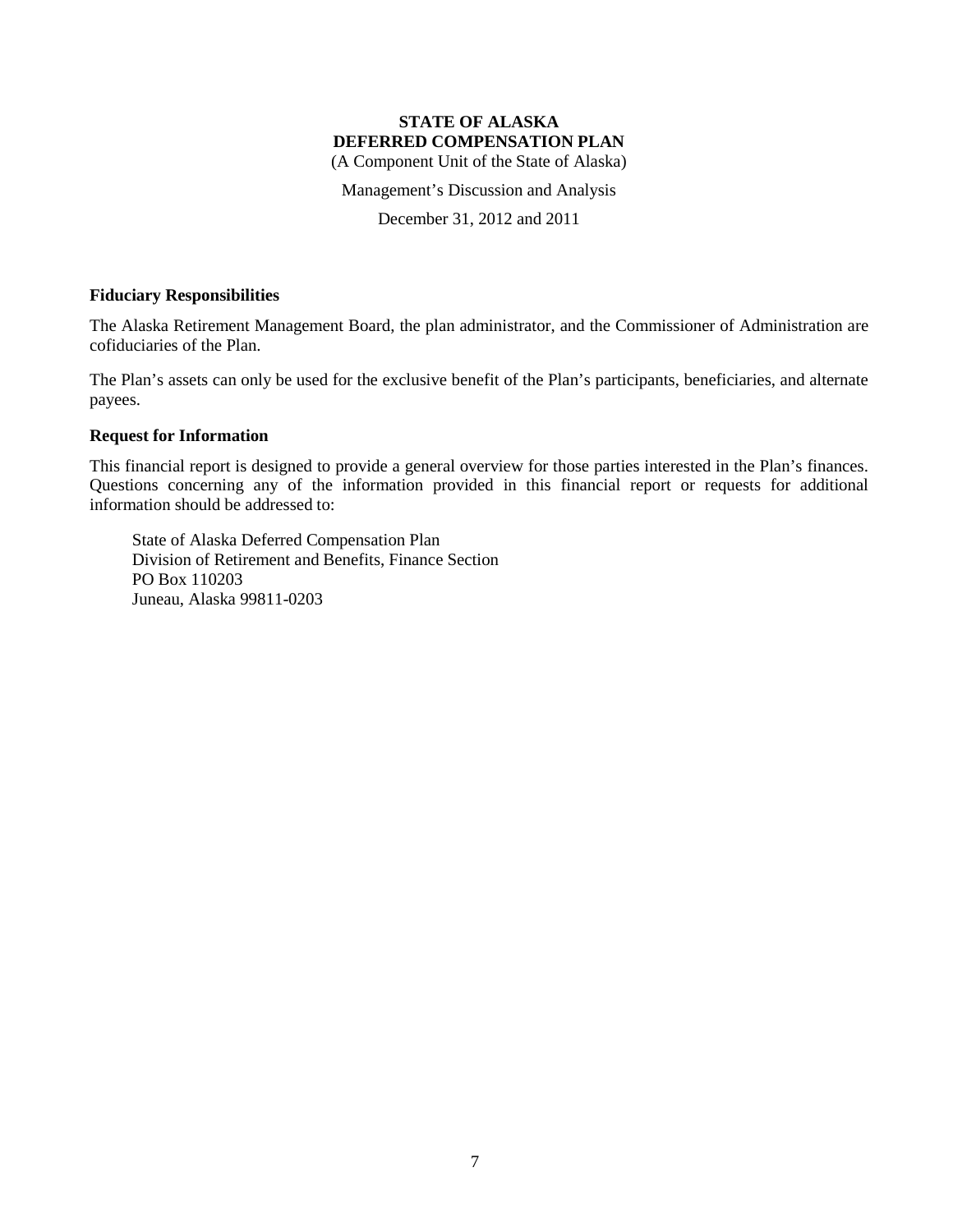Management's Discussion and Analysis

December 31, 2012 and 2011

## **Fiduciary Responsibilities**

The Alaska Retirement Management Board, the plan administrator, and the Commissioner of Administration are cofiduciaries of the Plan.

The Plan's assets can only be used for the exclusive benefit of the Plan's participants, beneficiaries, and alternate payees.

#### **Request for Information**

This financial report is designed to provide a general overview for those parties interested in the Plan's finances. Questions concerning any of the information provided in this financial report or requests for additional information should be addressed to:

State of Alaska Deferred Compensation Plan Division of Retirement and Benefits, Finance Section PO Box 110203 Juneau, Alaska 99811-0203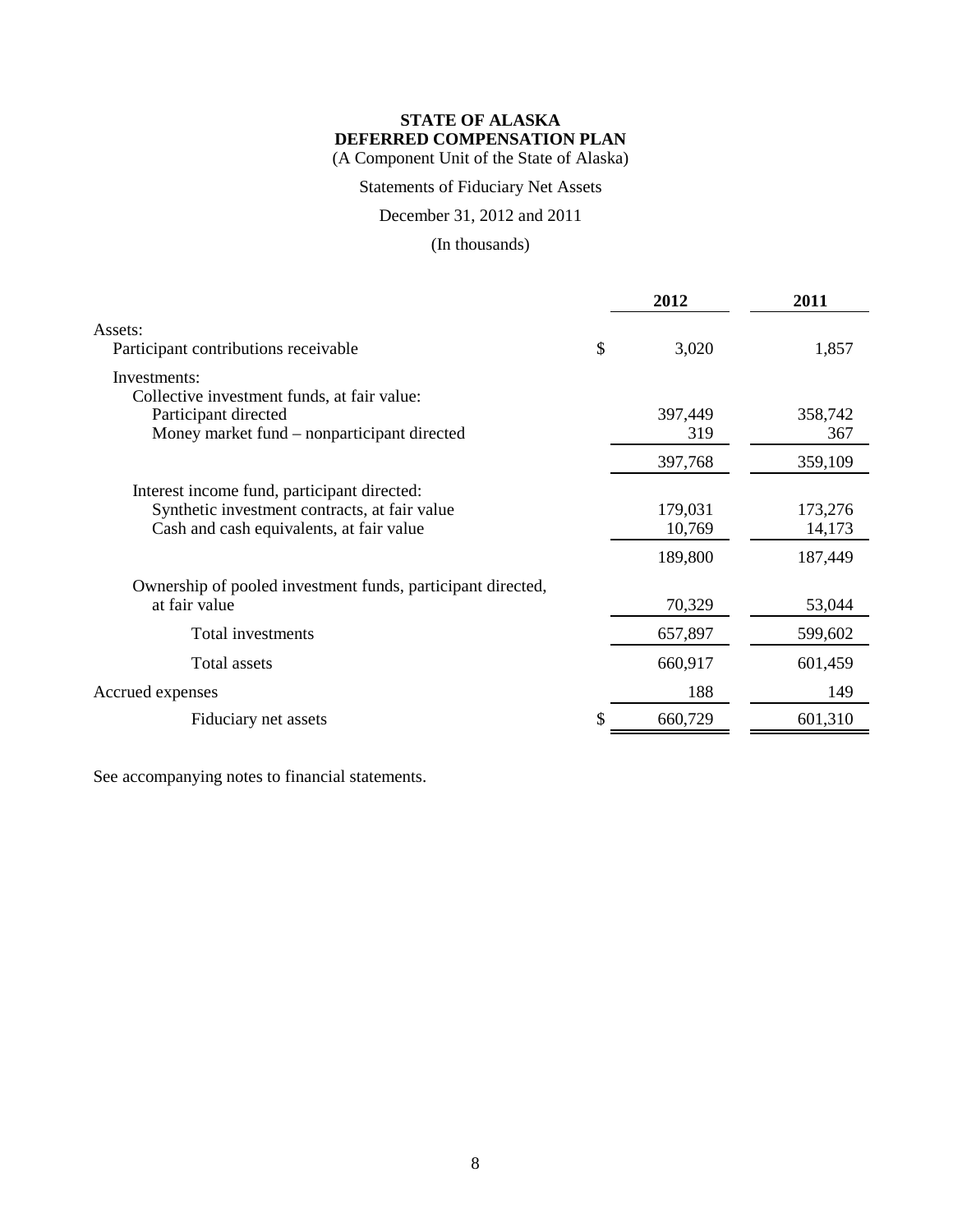Statements of Fiduciary Net Assets

December 31, 2012 and 2011

(In thousands)

|                                                             | 2012        | 2011    |
|-------------------------------------------------------------|-------------|---------|
| Assets:<br>Participant contributions receivable             | \$<br>3,020 | 1,857   |
| Investments:<br>Collective investment funds, at fair value: |             |         |
| Participant directed                                        | 397,449     | 358,742 |
| Money market fund – nonparticipant directed                 | 319         | 367     |
|                                                             | 397,768     | 359,109 |
| Interest income fund, participant directed:                 |             |         |
| Synthetic investment contracts, at fair value               | 179,031     | 173,276 |
| Cash and cash equivalents, at fair value                    | 10,769      | 14,173  |
|                                                             | 189,800     | 187,449 |
| Ownership of pooled investment funds, participant directed, |             |         |
| at fair value                                               | 70,329      | 53,044  |
| Total investments                                           | 657,897     | 599,602 |
| <b>Total assets</b>                                         | 660,917     | 601,459 |
| Accrued expenses                                            | 188         | 149     |
| Fiduciary net assets                                        | 660,729     | 601,310 |

See accompanying notes to financial statements.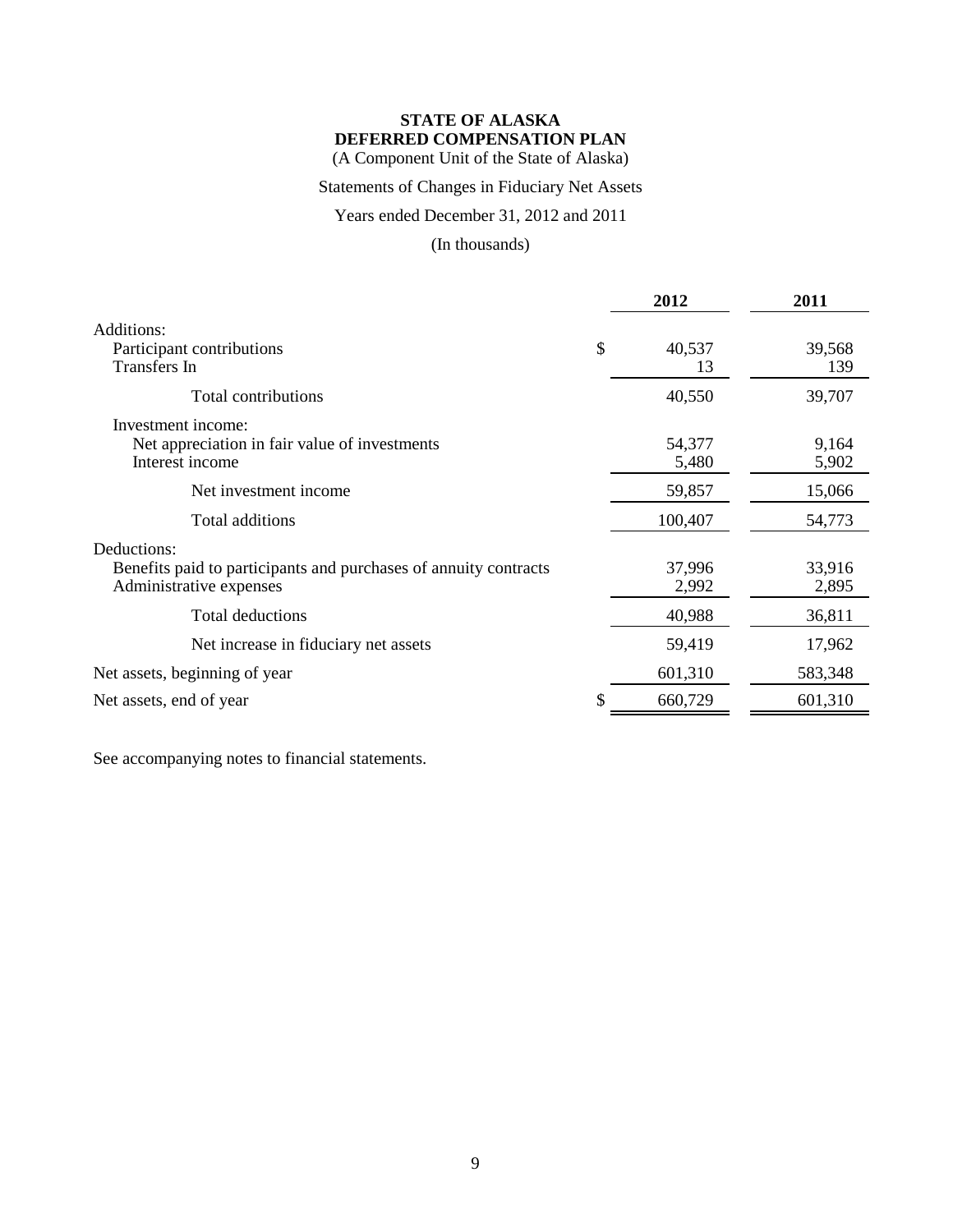(A Component Unit of the State of Alaska)

## Statements of Changes in Fiduciary Net Assets

Years ended December 31, 2012 and 2011

(In thousands)

|                                                                                                            | 2012               | 2011            |
|------------------------------------------------------------------------------------------------------------|--------------------|-----------------|
| Additions:<br>Participant contributions<br>Transfers In                                                    | \$<br>40,537<br>13 | 39,568<br>139   |
| Total contributions                                                                                        | 40,550             | 39,707          |
| Investment income:<br>Net appreciation in fair value of investments<br>Interest income                     | 54,377<br>5,480    | 9,164<br>5,902  |
| Net investment income                                                                                      | 59,857             | 15,066          |
| Total additions                                                                                            | 100,407            | 54,773          |
| Deductions:<br>Benefits paid to participants and purchases of annuity contracts<br>Administrative expenses | 37,996<br>2,992    | 33,916<br>2,895 |
| <b>Total deductions</b>                                                                                    | 40,988             | 36,811          |
| Net increase in fiduciary net assets                                                                       | 59,419             | 17,962          |
| Net assets, beginning of year                                                                              | 601,310            | 583,348         |
| Net assets, end of year                                                                                    | 660,729            | 601,310         |

See accompanying notes to financial statements.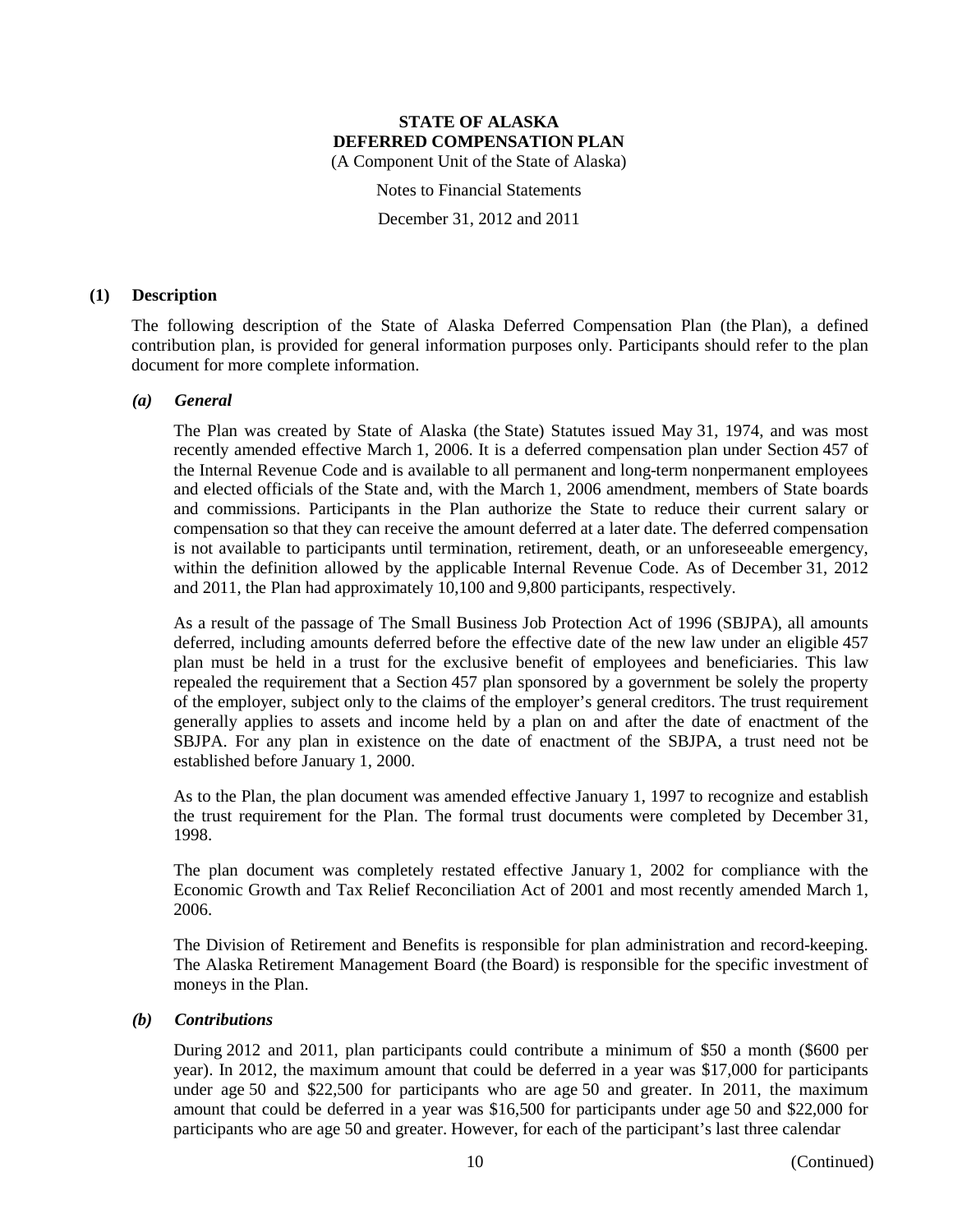(A Component Unit of the State of Alaska)

Notes to Financial Statements

December 31, 2012 and 2011

## **(1) Description**

The following description of the State of Alaska Deferred Compensation Plan (the Plan), a defined contribution plan, is provided for general information purposes only. Participants should refer to the plan document for more complete information.

## *(a) General*

The Plan was created by State of Alaska (the State) Statutes issued May 31, 1974, and was most recently amended effective March 1, 2006. It is a deferred compensation plan under Section 457 of the Internal Revenue Code and is available to all permanent and long-term nonpermanent employees and elected officials of the State and, with the March 1, 2006 amendment, members of State boards and commissions. Participants in the Plan authorize the State to reduce their current salary or compensation so that they can receive the amount deferred at a later date. The deferred compensation is not available to participants until termination, retirement, death, or an unforeseeable emergency, within the definition allowed by the applicable Internal Revenue Code. As of December 31, 2012 and 2011, the Plan had approximately 10,100 and 9,800 participants, respectively.

As a result of the passage of The Small Business Job Protection Act of 1996 (SBJPA), all amounts deferred, including amounts deferred before the effective date of the new law under an eligible 457 plan must be held in a trust for the exclusive benefit of employees and beneficiaries. This law repealed the requirement that a Section 457 plan sponsored by a government be solely the property of the employer, subject only to the claims of the employer's general creditors. The trust requirement generally applies to assets and income held by a plan on and after the date of enactment of the SBJPA. For any plan in existence on the date of enactment of the SBJPA, a trust need not be established before January 1, 2000.

As to the Plan, the plan document was amended effective January 1, 1997 to recognize and establish the trust requirement for the Plan. The formal trust documents were completed by December 31, 1998.

The plan document was completely restated effective January 1, 2002 for compliance with the Economic Growth and Tax Relief Reconciliation Act of 2001 and most recently amended March 1, 2006.

The Division of Retirement and Benefits is responsible for plan administration and record-keeping. The Alaska Retirement Management Board (the Board) is responsible for the specific investment of moneys in the Plan.

#### *(b) Contributions*

During 2012 and 2011, plan participants could contribute a minimum of \$50 a month (\$600 per year). In 2012, the maximum amount that could be deferred in a year was \$17,000 for participants under age 50 and \$22,500 for participants who are age 50 and greater. In 2011, the maximum amount that could be deferred in a year was \$16,500 for participants under age 50 and \$22,000 for participants who are age 50 and greater. However, for each of the participant's last three calendar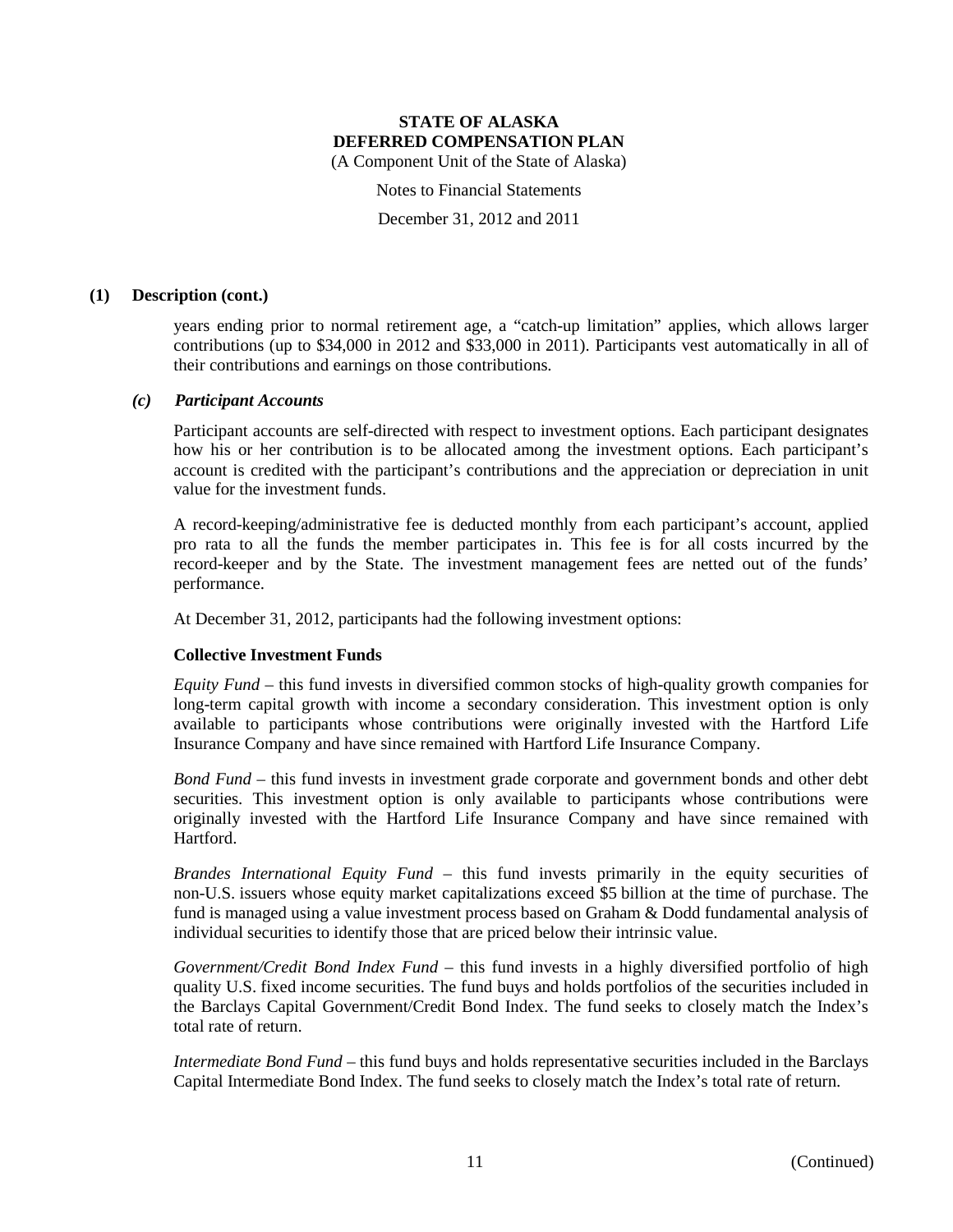(A Component Unit of the State of Alaska)

Notes to Financial Statements

December 31, 2012 and 2011

#### **(1) Description (cont.)**

years ending prior to normal retirement age, a "catch-up limitation" applies, which allows larger contributions (up to \$34,000 in 2012 and \$33,000 in 2011). Participants vest automatically in all of their contributions and earnings on those contributions.

#### *(c) Participant Accounts*

Participant accounts are self-directed with respect to investment options. Each participant designates how his or her contribution is to be allocated among the investment options. Each participant's account is credited with the participant's contributions and the appreciation or depreciation in unit value for the investment funds.

A record-keeping/administrative fee is deducted monthly from each participant's account, applied pro rata to all the funds the member participates in. This fee is for all costs incurred by the record-keeper and by the State. The investment management fees are netted out of the funds' performance.

At December 31, 2012, participants had the following investment options:

## **Collective Investment Funds**

*Equity Fund* – this fund invests in diversified common stocks of high-quality growth companies for long-term capital growth with income a secondary consideration. This investment option is only available to participants whose contributions were originally invested with the Hartford Life Insurance Company and have since remained with Hartford Life Insurance Company.

*Bond Fund* – this fund invests in investment grade corporate and government bonds and other debt securities. This investment option is only available to participants whose contributions were originally invested with the Hartford Life Insurance Company and have since remained with Hartford.

*Brandes International Equity Fund* – this fund invests primarily in the equity securities of non-U.S. issuers whose equity market capitalizations exceed \$5 billion at the time of purchase. The fund is managed using a value investment process based on Graham & Dodd fundamental analysis of individual securities to identify those that are priced below their intrinsic value.

*Government/Credit Bond Index Fund* – this fund invests in a highly diversified portfolio of high quality U.S. fixed income securities. The fund buys and holds portfolios of the securities included in the Barclays Capital Government/Credit Bond Index. The fund seeks to closely match the Index's total rate of return.

*Intermediate Bond Fund* – this fund buys and holds representative securities included in the Barclays Capital Intermediate Bond Index. The fund seeks to closely match the Index's total rate of return.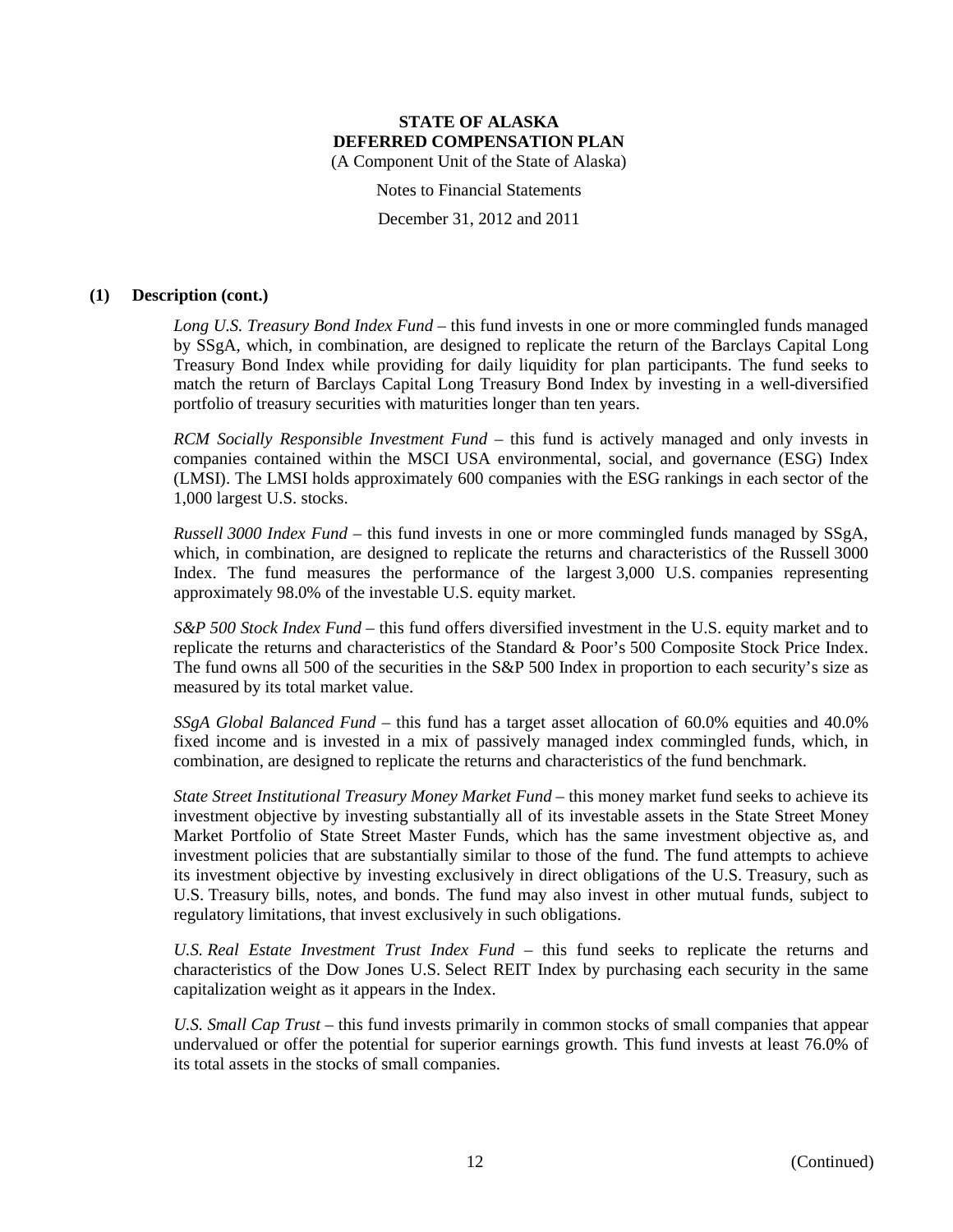(A Component Unit of the State of Alaska)

Notes to Financial Statements

December 31, 2012 and 2011

#### **(1) Description (cont.)**

*Long U.S. Treasury Bond Index Fund* – this fund invests in one or more commingled funds managed by SSgA, which, in combination, are designed to replicate the return of the Barclays Capital Long Treasury Bond Index while providing for daily liquidity for plan participants. The fund seeks to match the return of Barclays Capital Long Treasury Bond Index by investing in a well-diversified portfolio of treasury securities with maturities longer than ten years.

*RCM Socially Responsible Investment Fund* – this fund is actively managed and only invests in companies contained within the MSCI USA environmental, social, and governance (ESG) Index (LMSI). The LMSI holds approximately 600 companies with the ESG rankings in each sector of the 1,000 largest U.S. stocks.

*Russell 3000 Index Fund* – this fund invests in one or more commingled funds managed by SSgA, which, in combination, are designed to replicate the returns and characteristics of the Russell 3000 Index. The fund measures the performance of the largest 3,000 U.S. companies representing approximately 98.0% of the investable U.S. equity market.

*S&P 500 Stock Index Fund* – this fund offers diversified investment in the U.S. equity market and to replicate the returns and characteristics of the Standard & Poor's 500 Composite Stock Price Index. The fund owns all 500 of the securities in the S&P 500 Index in proportion to each security's size as measured by its total market value.

*SSgA Global Balanced Fund* – this fund has a target asset allocation of 60.0% equities and 40.0% fixed income and is invested in a mix of passively managed index commingled funds, which, in combination, are designed to replicate the returns and characteristics of the fund benchmark.

*State Street Institutional Treasury Money Market Fund* – this money market fund seeks to achieve its investment objective by investing substantially all of its investable assets in the State Street Money Market Portfolio of State Street Master Funds, which has the same investment objective as, and investment policies that are substantially similar to those of the fund. The fund attempts to achieve its investment objective by investing exclusively in direct obligations of the U.S. Treasury, such as U.S. Treasury bills, notes, and bonds. The fund may also invest in other mutual funds, subject to regulatory limitations, that invest exclusively in such obligations.

*U.S. Real Estate Investment Trust Index Fund* – this fund seeks to replicate the returns and characteristics of the Dow Jones U.S. Select REIT Index by purchasing each security in the same capitalization weight as it appears in the Index.

*U.S. Small Cap Trust* – this fund invests primarily in common stocks of small companies that appear undervalued or offer the potential for superior earnings growth. This fund invests at least 76.0% of its total assets in the stocks of small companies.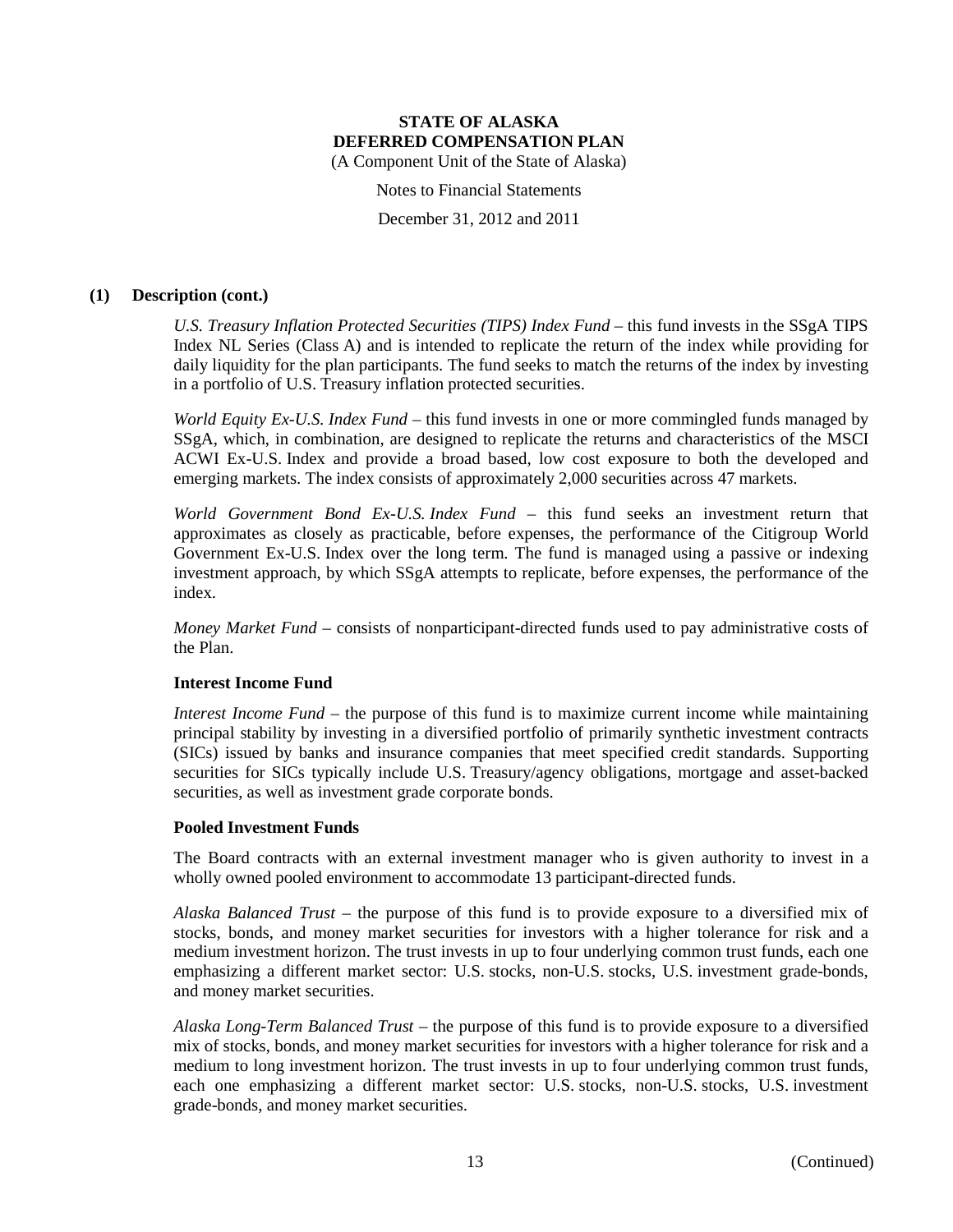(A Component Unit of the State of Alaska)

Notes to Financial Statements

December 31, 2012 and 2011

#### **(1) Description (cont.)**

*U.S. Treasury Inflation Protected Securities (TIPS) Index Fund* – this fund invests in the SSgA TIPS Index NL Series (Class A) and is intended to replicate the return of the index while providing for daily liquidity for the plan participants. The fund seeks to match the returns of the index by investing in a portfolio of U.S. Treasury inflation protected securities.

*World Equity Ex-U.S. Index Fund* – this fund invests in one or more commingled funds managed by SSgA, which, in combination, are designed to replicate the returns and characteristics of the MSCI ACWI Ex-U.S. Index and provide a broad based, low cost exposure to both the developed and emerging markets. The index consists of approximately 2,000 securities across 47 markets.

*World Government Bond Ex-U.S. Index Fund* – this fund seeks an investment return that approximates as closely as practicable, before expenses, the performance of the Citigroup World Government Ex-U.S. Index over the long term. The fund is managed using a passive or indexing investment approach, by which SSgA attempts to replicate, before expenses, the performance of the index.

*Money Market Fund* – consists of nonparticipant-directed funds used to pay administrative costs of the Plan.

## **Interest Income Fund**

*Interest Income Fund* – the purpose of this fund is to maximize current income while maintaining principal stability by investing in a diversified portfolio of primarily synthetic investment contracts (SICs) issued by banks and insurance companies that meet specified credit standards. Supporting securities for SICs typically include U.S. Treasury/agency obligations, mortgage and asset-backed securities, as well as investment grade corporate bonds.

#### **Pooled Investment Funds**

The Board contracts with an external investment manager who is given authority to invest in a wholly owned pooled environment to accommodate 13 participant-directed funds.

*Alaska Balanced Trust* – the purpose of this fund is to provide exposure to a diversified mix of stocks, bonds, and money market securities for investors with a higher tolerance for risk and a medium investment horizon. The trust invests in up to four underlying common trust funds, each one emphasizing a different market sector: U.S. stocks, non-U.S. stocks, U.S. investment grade-bonds, and money market securities.

*Alaska Long-Term Balanced Trust* – the purpose of this fund is to provide exposure to a diversified mix of stocks, bonds, and money market securities for investors with a higher tolerance for risk and a medium to long investment horizon. The trust invests in up to four underlying common trust funds, each one emphasizing a different market sector: U.S. stocks, non-U.S. stocks, U.S. investment grade-bonds, and money market securities.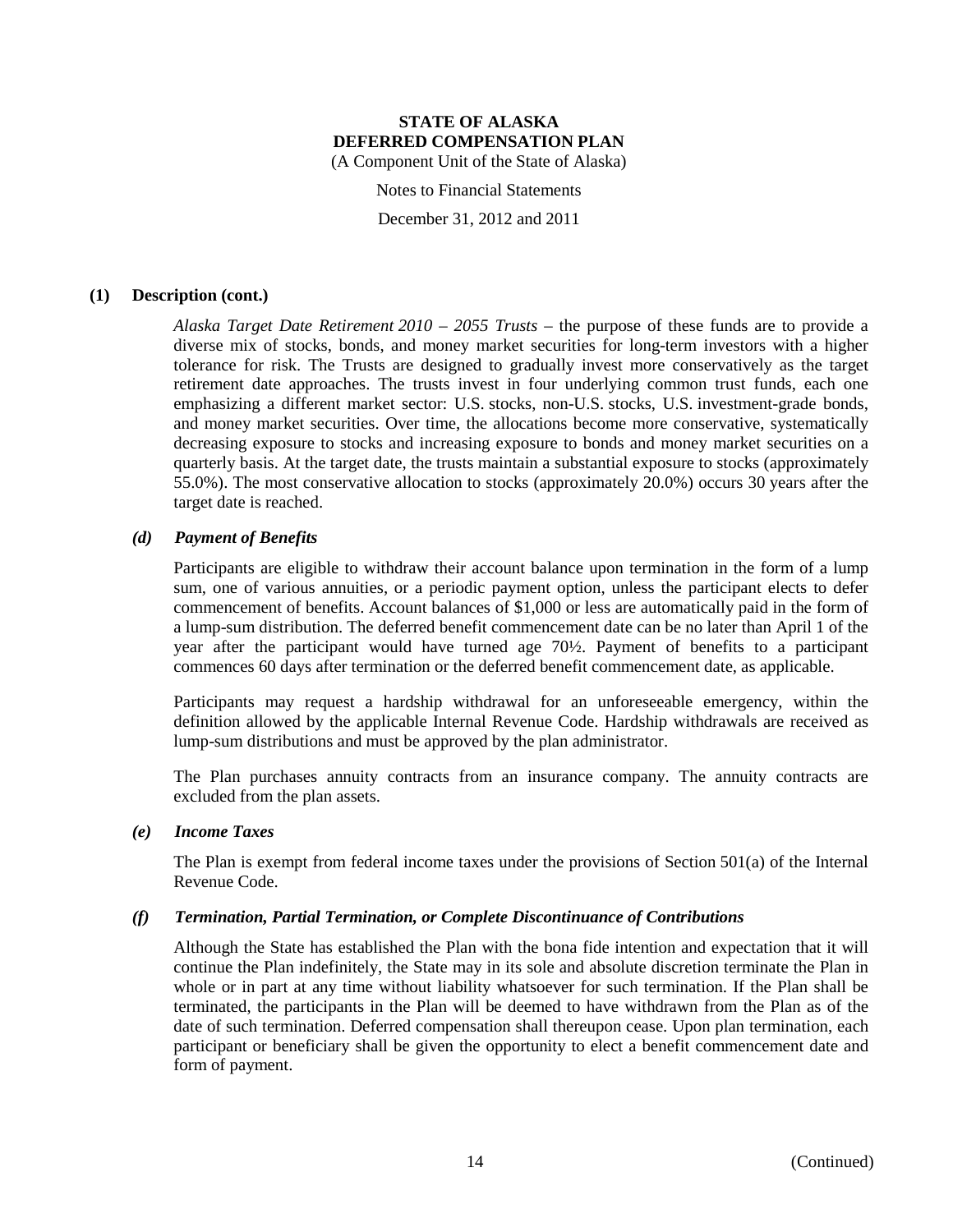Notes to Financial Statements

December 31, 2012 and 2011

## **(1) Description (cont.)**

*Alaska Target Date Retirement 2010* – *2055 Trusts* – the purpose of these funds are to provide a diverse mix of stocks, bonds, and money market securities for long-term investors with a higher tolerance for risk. The Trusts are designed to gradually invest more conservatively as the target retirement date approaches. The trusts invest in four underlying common trust funds, each one emphasizing a different market sector: U.S. stocks, non-U.S. stocks, U.S. investment-grade bonds, and money market securities. Over time, the allocations become more conservative, systematically decreasing exposure to stocks and increasing exposure to bonds and money market securities on a quarterly basis. At the target date, the trusts maintain a substantial exposure to stocks (approximately 55.0%). The most conservative allocation to stocks (approximately 20.0%) occurs 30 years after the target date is reached.

## *(d) Payment of Benefits*

Participants are eligible to withdraw their account balance upon termination in the form of a lump sum, one of various annuities, or a periodic payment option, unless the participant elects to defer commencement of benefits. Account balances of \$1,000 or less are automatically paid in the form of a lump-sum distribution. The deferred benefit commencement date can be no later than April 1 of the year after the participant would have turned age 70½. Payment of benefits to a participant commences 60 days after termination or the deferred benefit commencement date, as applicable.

Participants may request a hardship withdrawal for an unforeseeable emergency, within the definition allowed by the applicable Internal Revenue Code. Hardship withdrawals are received as lump-sum distributions and must be approved by the plan administrator.

The Plan purchases annuity contracts from an insurance company. The annuity contracts are excluded from the plan assets.

## *(e) Income Taxes*

The Plan is exempt from federal income taxes under the provisions of Section 501(a) of the Internal Revenue Code.

#### *(f) Termination, Partial Termination, or Complete Discontinuance of Contributions*

Although the State has established the Plan with the bona fide intention and expectation that it will continue the Plan indefinitely, the State may in its sole and absolute discretion terminate the Plan in whole or in part at any time without liability whatsoever for such termination. If the Plan shall be terminated, the participants in the Plan will be deemed to have withdrawn from the Plan as of the date of such termination. Deferred compensation shall thereupon cease. Upon plan termination, each participant or beneficiary shall be given the opportunity to elect a benefit commencement date and form of payment.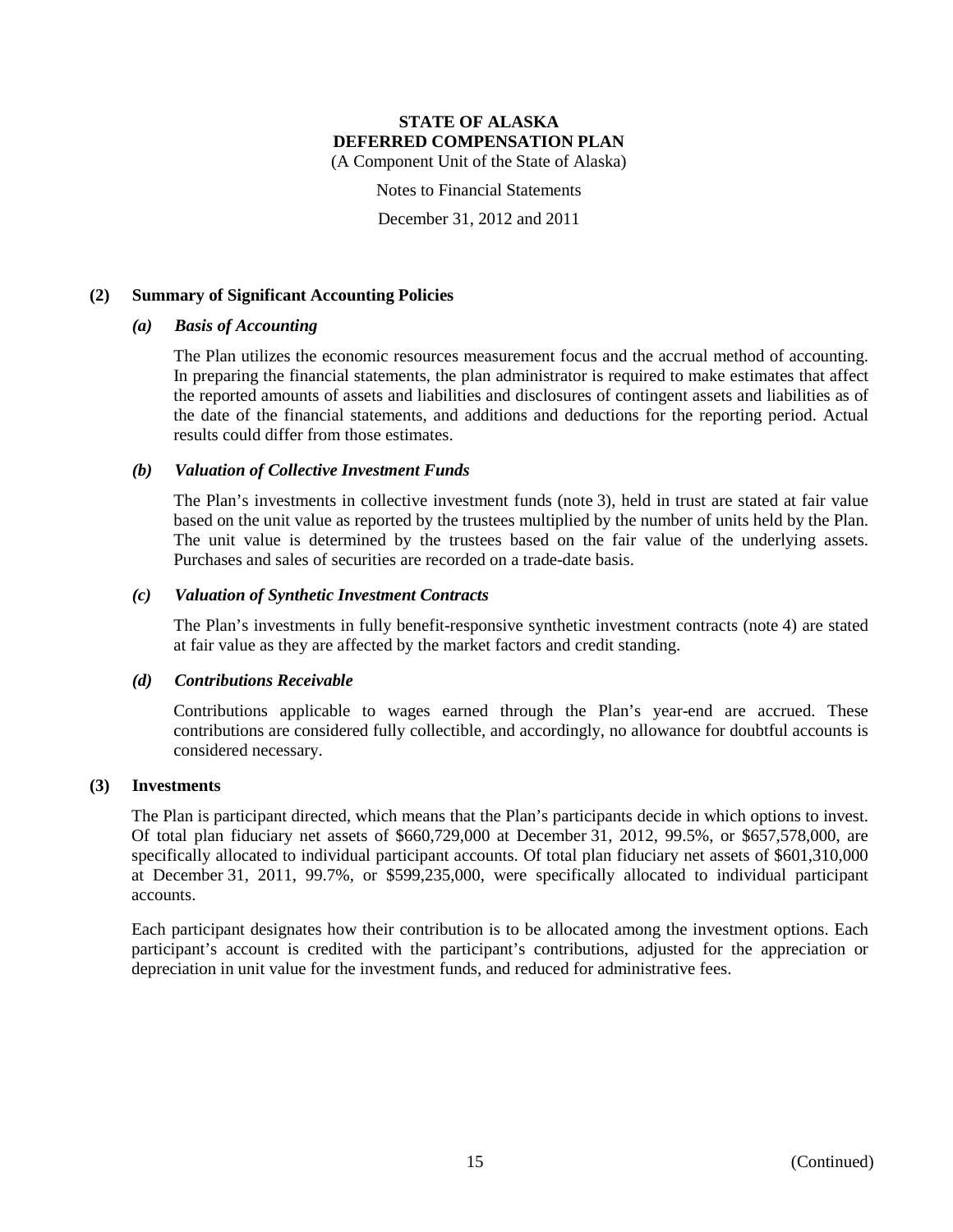(A Component Unit of the State of Alaska)

Notes to Financial Statements

December 31, 2012 and 2011

## **(2) Summary of Significant Accounting Policies**

#### *(a) Basis of Accounting*

The Plan utilizes the economic resources measurement focus and the accrual method of accounting. In preparing the financial statements, the plan administrator is required to make estimates that affect the reported amounts of assets and liabilities and disclosures of contingent assets and liabilities as of the date of the financial statements, and additions and deductions for the reporting period. Actual results could differ from those estimates.

## *(b) Valuation of Collective Investment Funds*

The Plan's investments in collective investment funds (note 3), held in trust are stated at fair value based on the unit value as reported by the trustees multiplied by the number of units held by the Plan. The unit value is determined by the trustees based on the fair value of the underlying assets. Purchases and sales of securities are recorded on a trade-date basis.

## *(c) Valuation of Synthetic Investment Contracts*

The Plan's investments in fully benefit-responsive synthetic investment contracts (note 4) are stated at fair value as they are affected by the market factors and credit standing.

#### *(d) Contributions Receivable*

Contributions applicable to wages earned through the Plan's year-end are accrued. These contributions are considered fully collectible, and accordingly, no allowance for doubtful accounts is considered necessary.

#### **(3) Investments**

The Plan is participant directed, which means that the Plan's participants decide in which options to invest. Of total plan fiduciary net assets of \$660,729,000 at December 31, 2012, 99.5%, or \$657,578,000, are specifically allocated to individual participant accounts. Of total plan fiduciary net assets of \$601,310,000 at December 31, 2011, 99.7%, or \$599,235,000, were specifically allocated to individual participant accounts.

Each participant designates how their contribution is to be allocated among the investment options. Each participant's account is credited with the participant's contributions, adjusted for the appreciation or depreciation in unit value for the investment funds, and reduced for administrative fees.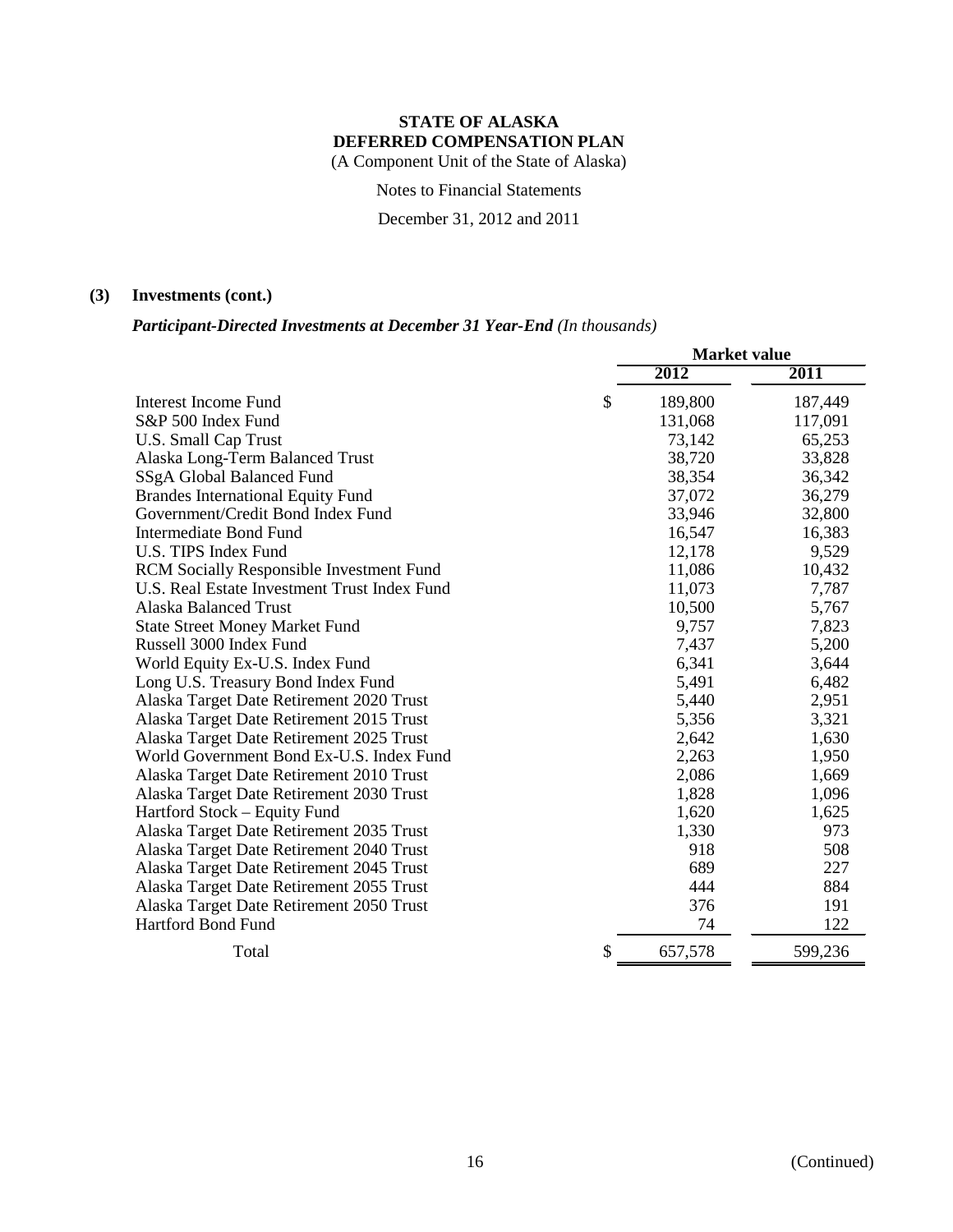(A Component Unit of the State of Alaska)

Notes to Financial Statements

December 31, 2012 and 2011

## **(3) Investments (cont.)**

## *Participant-Directed Investments at December 31 Year-End (In thousands)*

|                                                 | <b>Market value</b> |         |  |
|-------------------------------------------------|---------------------|---------|--|
|                                                 | 2012                | 2011    |  |
| Interest Income Fund                            | \$<br>189,800       | 187,449 |  |
| S&P 500 Index Fund                              | 131,068             | 117,091 |  |
| U.S. Small Cap Trust                            | 73,142              | 65,253  |  |
| Alaska Long-Term Balanced Trust                 | 38,720              | 33,828  |  |
| SSgA Global Balanced Fund                       | 38,354              | 36,342  |  |
| <b>Brandes International Equity Fund</b>        | 37,072              | 36,279  |  |
| Government/Credit Bond Index Fund               | 33,946              | 32,800  |  |
| <b>Intermediate Bond Fund</b>                   | 16,547              | 16,383  |  |
| U.S. TIPS Index Fund                            | 12,178              | 9,529   |  |
| <b>RCM</b> Socially Responsible Investment Fund | 11,086              | 10,432  |  |
| U.S. Real Estate Investment Trust Index Fund    | 11,073              | 7,787   |  |
| <b>Alaska Balanced Trust</b>                    | 10,500              | 5,767   |  |
| <b>State Street Money Market Fund</b>           | 9,757               | 7,823   |  |
| Russell 3000 Index Fund                         | 7,437               | 5,200   |  |
| World Equity Ex-U.S. Index Fund                 | 6,341               | 3,644   |  |
| Long U.S. Treasury Bond Index Fund              | 5,491               | 6,482   |  |
| Alaska Target Date Retirement 2020 Trust        | 5,440               | 2,951   |  |
| Alaska Target Date Retirement 2015 Trust        | 5,356               | 3,321   |  |
| Alaska Target Date Retirement 2025 Trust        | 2,642               | 1,630   |  |
| World Government Bond Ex-U.S. Index Fund        | 2,263               | 1,950   |  |
| Alaska Target Date Retirement 2010 Trust        | 2,086               | 1,669   |  |
| Alaska Target Date Retirement 2030 Trust        | 1,828               | 1,096   |  |
| Hartford Stock – Equity Fund                    | 1,620               | 1,625   |  |
| Alaska Target Date Retirement 2035 Trust        | 1,330               | 973     |  |
| Alaska Target Date Retirement 2040 Trust        | 918                 | 508     |  |
| Alaska Target Date Retirement 2045 Trust        | 689                 | 227     |  |
| Alaska Target Date Retirement 2055 Trust        | 444                 | 884     |  |
| Alaska Target Date Retirement 2050 Trust        | 376                 | 191     |  |
| <b>Hartford Bond Fund</b>                       | 74                  | 122     |  |
| Total                                           | \$<br>657,578       | 599,236 |  |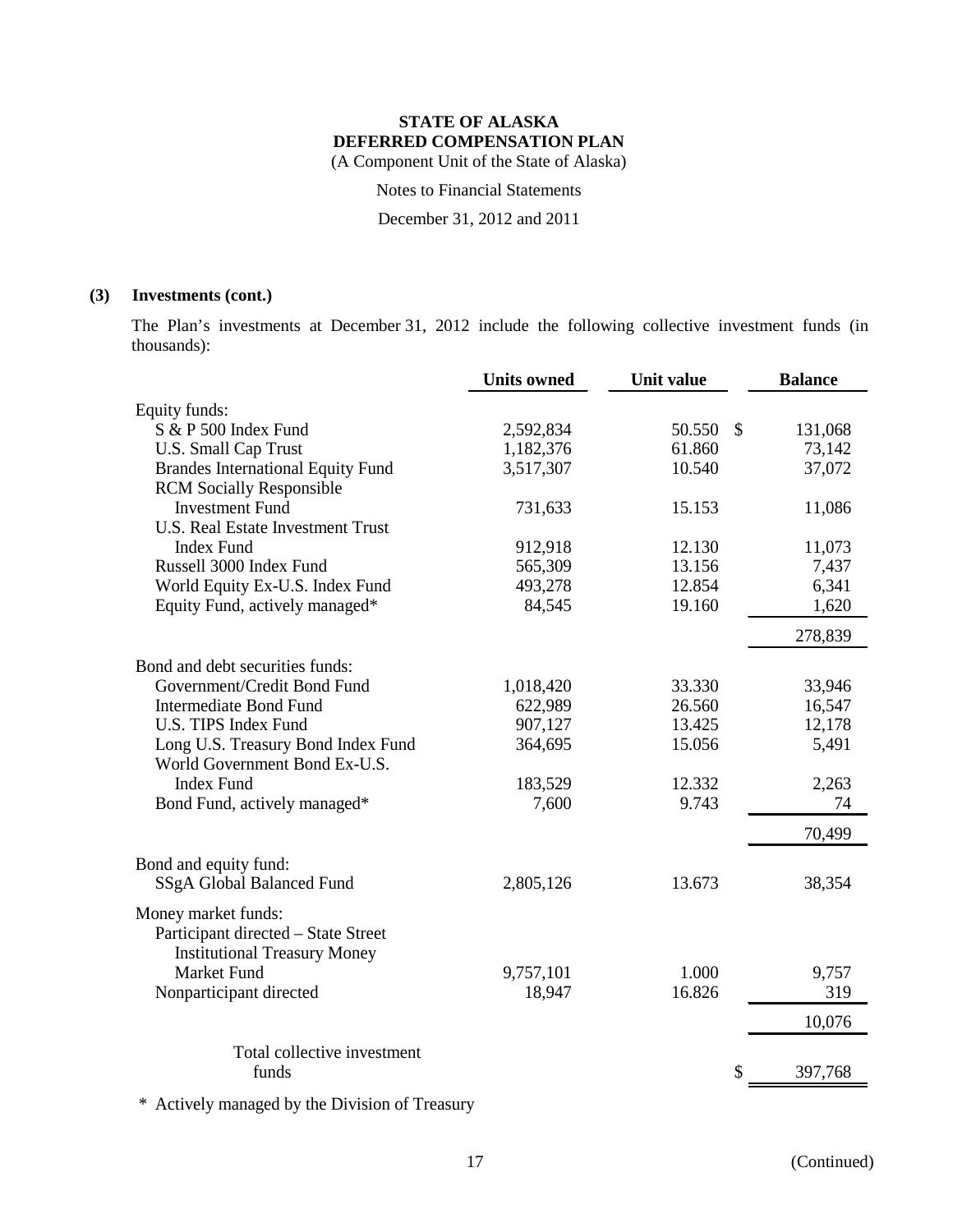Notes to Financial Statements

December 31, 2012 and 2011

## **(3) Investments (cont.)**

The Plan's investments at December 31, 2012 include the following collective investment funds (in thousands):

|                                             | <b>Units owned</b> | <b>Unit value</b> |               | <b>Balance</b> |
|---------------------------------------------|--------------------|-------------------|---------------|----------------|
| Equity funds:                               |                    |                   |               |                |
| S & P 500 Index Fund                        | 2,592,834          | 50.550            | $\mathcal{S}$ | 131,068        |
| <b>U.S. Small Cap Trust</b>                 | 1,182,376          | 61.860            |               | 73,142         |
| <b>Brandes International Equity Fund</b>    | 3,517,307          | 10.540            |               | 37,072         |
| <b>RCM Socially Responsible</b>             |                    |                   |               |                |
| <b>Investment Fund</b>                      | 731,633            | 15.153            |               | 11,086         |
| <b>U.S. Real Estate Investment Trust</b>    |                    |                   |               |                |
| <b>Index Fund</b>                           | 912,918            | 12.130            |               | 11,073         |
| Russell 3000 Index Fund                     | 565,309            | 13.156            |               | 7,437          |
| World Equity Ex-U.S. Index Fund             | 493,278            | 12.854            |               | 6,341          |
| Equity Fund, actively managed*              | 84,545             | 19.160            |               | 1,620          |
|                                             |                    |                   |               | 278,839        |
| Bond and debt securities funds:             |                    |                   |               |                |
| Government/Credit Bond Fund                 | 1,018,420          | 33.330            |               | 33,946         |
| <b>Intermediate Bond Fund</b>               | 622,989            | 26.560            |               | 16,547         |
| <b>U.S. TIPS Index Fund</b>                 | 907,127            | 13.425            |               | 12,178         |
| Long U.S. Treasury Bond Index Fund          | 364,695            | 15.056            |               | 5,491          |
| World Government Bond Ex-U.S.               |                    |                   |               |                |
| <b>Index Fund</b>                           | 183,529            | 12.332            |               | 2,263          |
| Bond Fund, actively managed*                | 7,600              | 9.743             |               | 74             |
|                                             |                    |                   |               | 70,499         |
| Bond and equity fund:                       |                    |                   |               |                |
| SSgA Global Balanced Fund                   | 2,805,126          | 13.673            |               | 38,354         |
| Money market funds:                         |                    |                   |               |                |
| Participant directed - State Street         |                    |                   |               |                |
| <b>Institutional Treasury Money</b>         |                    |                   |               |                |
| <b>Market Fund</b>                          | 9,757,101          | 1.000             |               | 9,757          |
| Nonparticipant directed                     | 18,947             | 16.826            |               | 319            |
|                                             |                    |                   |               | 10,076         |
| Total collective investment                 |                    |                   |               |                |
| funds                                       |                    |                   | S             | 397,768        |
| Activity monogol by the Division of Treesay |                    |                   |               |                |

\* Actively managed by the Division of Treasury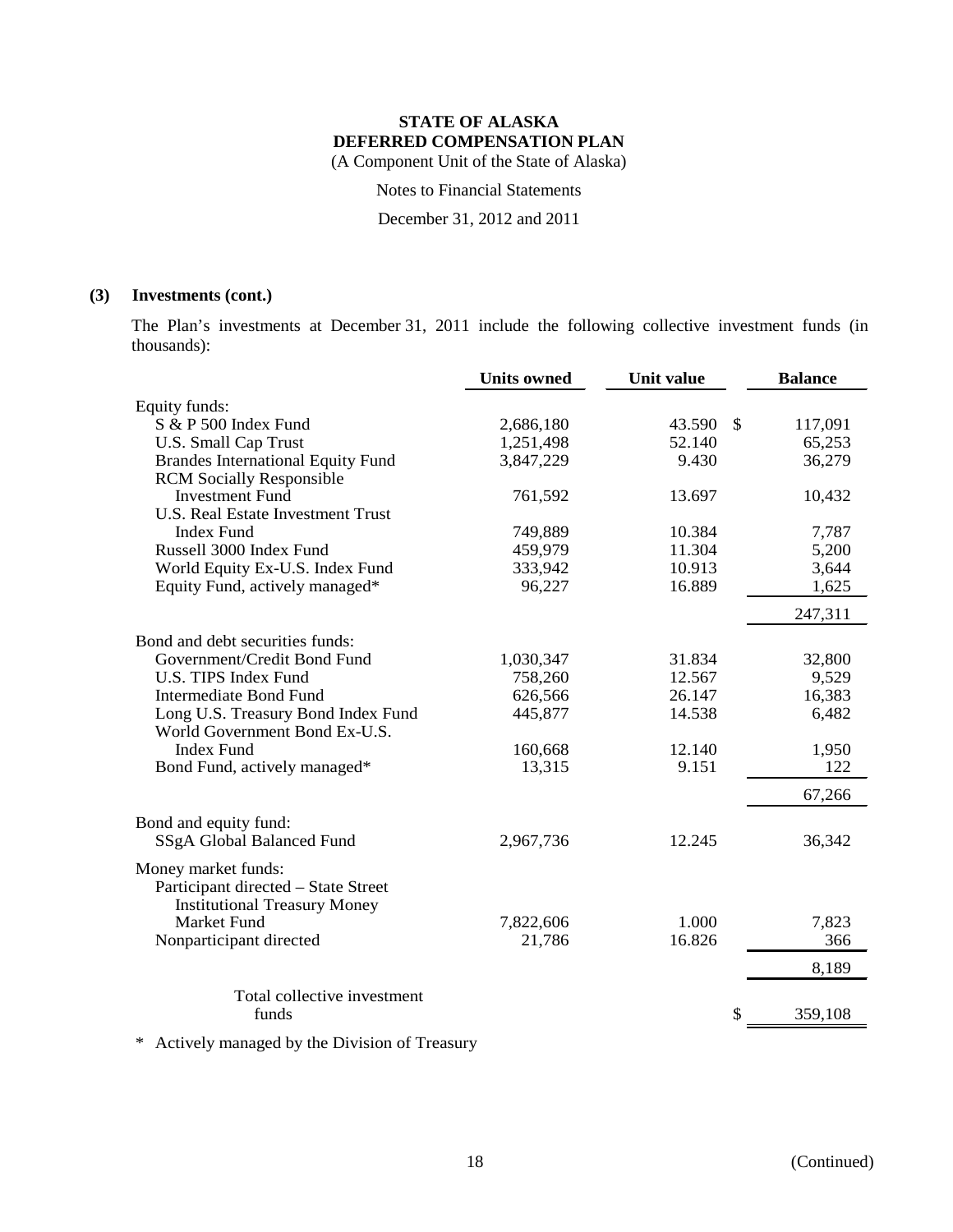(A Component Unit of the State of Alaska)

Notes to Financial Statements

December 31, 2012 and 2011

## **(3) Investments (cont.)**

The Plan's investments at December 31, 2011 include the following collective investment funds (in thousands):

|                                                            | <b>Units owned</b> | <b>Unit value</b> |               | <b>Balance</b> |
|------------------------------------------------------------|--------------------|-------------------|---------------|----------------|
| Equity funds:                                              |                    |                   |               |                |
| S & P 500 Index Fund                                       | 2,686,180          | 43.590            | $\mathcal{S}$ | 117,091        |
| <b>U.S. Small Cap Trust</b>                                | 1,251,498          | 52.140            |               | 65,253         |
| <b>Brandes International Equity Fund</b>                   | 3,847,229          | 9.430             |               | 36,279         |
| <b>RCM Socially Responsible</b>                            |                    |                   |               |                |
| <b>Investment Fund</b>                                     | 761,592            | 13.697            |               | 10,432         |
| <b>U.S. Real Estate Investment Trust</b>                   |                    |                   |               |                |
| <b>Index Fund</b>                                          | 749,889            | 10.384            |               | 7,787          |
| Russell 3000 Index Fund                                    | 459,979            | 11.304            |               | 5,200          |
| World Equity Ex-U.S. Index Fund                            | 333,942            | 10.913            |               | 3,644          |
| Equity Fund, actively managed*                             | 96,227             | 16.889            |               | 1,625          |
|                                                            |                    |                   |               | 247,311        |
| Bond and debt securities funds:                            |                    |                   |               |                |
| Government/Credit Bond Fund                                | 1,030,347          | 31.834            |               | 32,800         |
| <b>U.S. TIPS Index Fund</b>                                | 758,260            | 12.567            |               | 9,529          |
| <b>Intermediate Bond Fund</b>                              | 626,566            | 26.147            |               | 16,383         |
| Long U.S. Treasury Bond Index Fund                         | 445,877            | 14.538            |               | 6,482          |
| World Government Bond Ex-U.S.                              |                    |                   |               |                |
| <b>Index Fund</b>                                          | 160,668            | 12.140            |               | 1,950          |
| Bond Fund, actively managed*                               | 13,315             | 9.151             |               | 122            |
|                                                            |                    |                   |               | 67,266         |
| Bond and equity fund:                                      |                    |                   |               |                |
| SSgA Global Balanced Fund                                  | 2,967,736          | 12.245            |               | 36,342         |
|                                                            |                    |                   |               |                |
| Money market funds:<br>Participant directed - State Street |                    |                   |               |                |
| <b>Institutional Treasury Money</b>                        |                    |                   |               |                |
| Market Fund                                                | 7,822,606          | 1.000             |               | 7,823          |
| Nonparticipant directed                                    | 21,786             | 16.826            |               | 366            |
|                                                            |                    |                   |               |                |
|                                                            |                    |                   |               | 8,189          |
| Total collective investment                                |                    |                   |               |                |
| funds                                                      |                    |                   | \$            | 359,108        |
| Actively managed by the Division of Treasury<br>$\ast$     |                    |                   |               |                |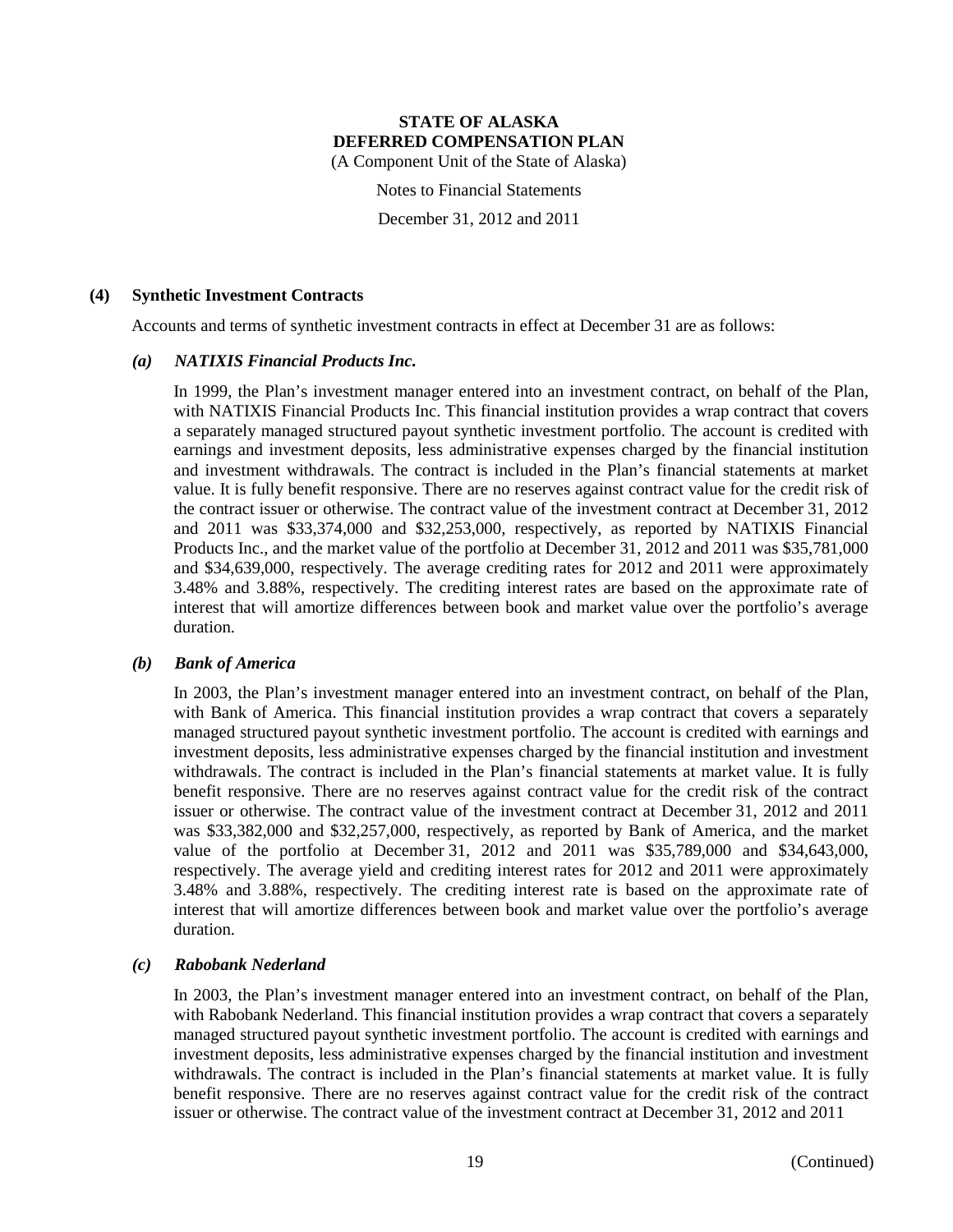(A Component Unit of the State of Alaska)

Notes to Financial Statements

December 31, 2012 and 2011

## **(4) Synthetic Investment Contracts**

Accounts and terms of synthetic investment contracts in effect at December 31 are as follows:

## *(a) NATIXIS Financial Products Inc.*

In 1999, the Plan's investment manager entered into an investment contract, on behalf of the Plan, with NATIXIS Financial Products Inc. This financial institution provides a wrap contract that covers a separately managed structured payout synthetic investment portfolio. The account is credited with earnings and investment deposits, less administrative expenses charged by the financial institution and investment withdrawals. The contract is included in the Plan's financial statements at market value. It is fully benefit responsive. There are no reserves against contract value for the credit risk of the contract issuer or otherwise. The contract value of the investment contract at December 31, 2012 and 2011 was \$33,374,000 and \$32,253,000, respectively, as reported by NATIXIS Financial Products Inc., and the market value of the portfolio at December 31, 2012 and 2011 was \$35,781,000 and \$34,639,000, respectively. The average crediting rates for 2012 and 2011 were approximately 3.48% and 3.88%, respectively. The crediting interest rates are based on the approximate rate of interest that will amortize differences between book and market value over the portfolio's average duration.

## *(b) Bank of America*

In 2003, the Plan's investment manager entered into an investment contract, on behalf of the Plan, with Bank of America. This financial institution provides a wrap contract that covers a separately managed structured payout synthetic investment portfolio. The account is credited with earnings and investment deposits, less administrative expenses charged by the financial institution and investment withdrawals. The contract is included in the Plan's financial statements at market value. It is fully benefit responsive. There are no reserves against contract value for the credit risk of the contract issuer or otherwise. The contract value of the investment contract at December 31, 2012 and 2011 was \$33,382,000 and \$32,257,000, respectively, as reported by Bank of America, and the market value of the portfolio at December 31, 2012 and 2011 was \$35,789,000 and \$34,643,000, respectively. The average yield and crediting interest rates for 2012 and 2011 were approximately 3.48% and 3.88%, respectively. The crediting interest rate is based on the approximate rate of interest that will amortize differences between book and market value over the portfolio's average duration.

#### *(c) Rabobank Nederland*

In 2003, the Plan's investment manager entered into an investment contract, on behalf of the Plan, with Rabobank Nederland. This financial institution provides a wrap contract that covers a separately managed structured payout synthetic investment portfolio. The account is credited with earnings and investment deposits, less administrative expenses charged by the financial institution and investment withdrawals. The contract is included in the Plan's financial statements at market value. It is fully benefit responsive. There are no reserves against contract value for the credit risk of the contract issuer or otherwise. The contract value of the investment contract at December 31, 2012 and 2011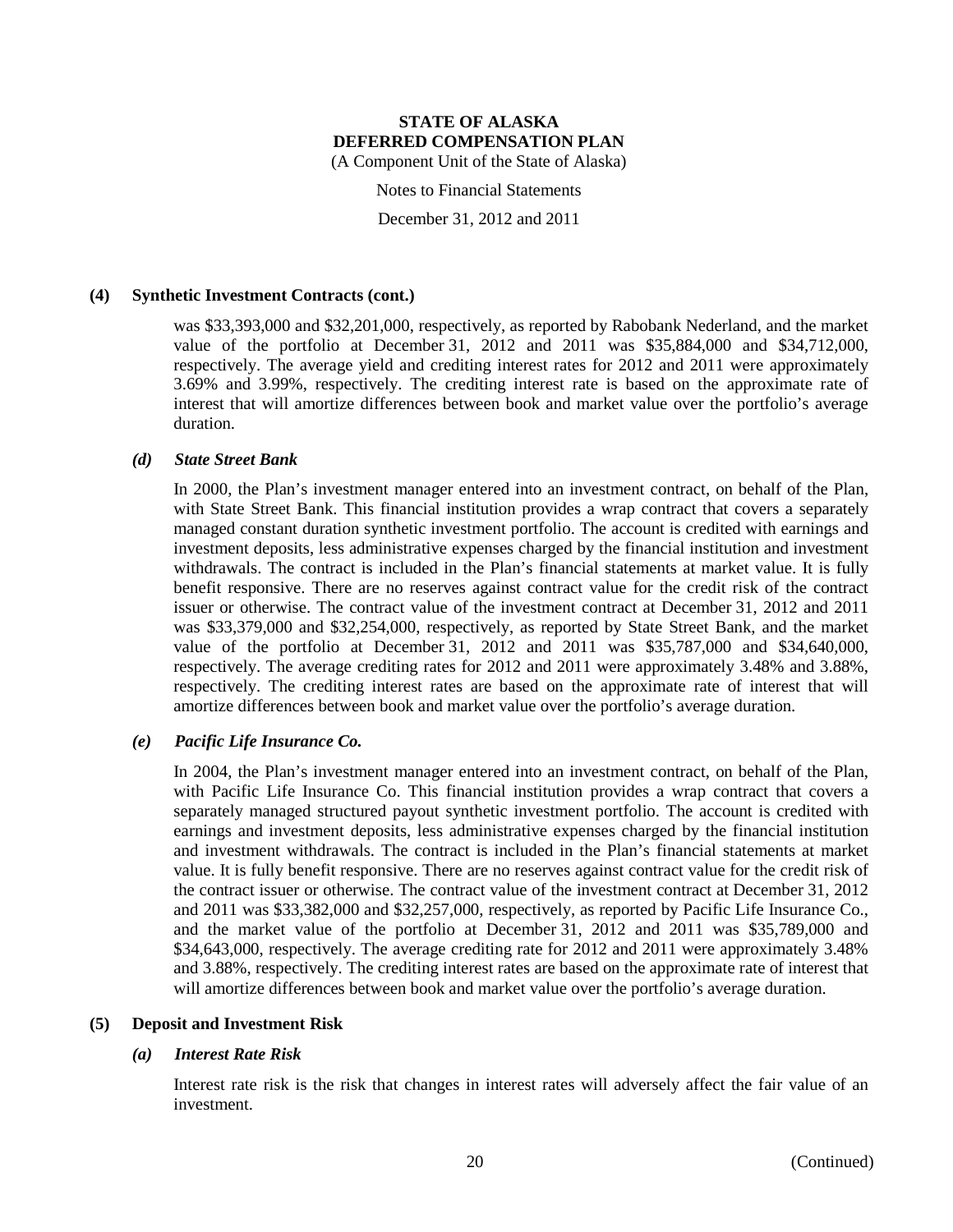Notes to Financial Statements

December 31, 2012 and 2011

#### **(4) Synthetic Investment Contracts (cont.)**

was \$33,393,000 and \$32,201,000, respectively, as reported by Rabobank Nederland, and the market value of the portfolio at December 31, 2012 and 2011 was \$35,884,000 and \$34,712,000, respectively. The average yield and crediting interest rates for 2012 and 2011 were approximately 3.69% and 3.99%, respectively. The crediting interest rate is based on the approximate rate of interest that will amortize differences between book and market value over the portfolio's average duration.

## *(d) State Street Bank*

In 2000, the Plan's investment manager entered into an investment contract, on behalf of the Plan, with State Street Bank. This financial institution provides a wrap contract that covers a separately managed constant duration synthetic investment portfolio. The account is credited with earnings and investment deposits, less administrative expenses charged by the financial institution and investment withdrawals. The contract is included in the Plan's financial statements at market value. It is fully benefit responsive. There are no reserves against contract value for the credit risk of the contract issuer or otherwise. The contract value of the investment contract at December 31, 2012 and 2011 was \$33,379,000 and \$32,254,000, respectively, as reported by State Street Bank, and the market value of the portfolio at December 31, 2012 and 2011 was \$35,787,000 and \$34,640,000, respectively. The average crediting rates for 2012 and 2011 were approximately 3.48% and 3.88%, respectively. The crediting interest rates are based on the approximate rate of interest that will amortize differences between book and market value over the portfolio's average duration.

#### *(e) Pacific Life Insurance Co.*

In 2004, the Plan's investment manager entered into an investment contract, on behalf of the Plan, with Pacific Life Insurance Co. This financial institution provides a wrap contract that covers a separately managed structured payout synthetic investment portfolio. The account is credited with earnings and investment deposits, less administrative expenses charged by the financial institution and investment withdrawals. The contract is included in the Plan's financial statements at market value. It is fully benefit responsive. There are no reserves against contract value for the credit risk of the contract issuer or otherwise. The contract value of the investment contract at December 31, 2012 and 2011 was \$33,382,000 and \$32,257,000, respectively, as reported by Pacific Life Insurance Co., and the market value of the portfolio at December 31, 2012 and 2011 was \$35,789,000 and \$34,643,000, respectively. The average crediting rate for 2012 and 2011 were approximately 3.48% and 3.88%, respectively. The crediting interest rates are based on the approximate rate of interest that will amortize differences between book and market value over the portfolio's average duration.

#### **(5) Deposit and Investment Risk**

#### *(a) Interest Rate Risk*

Interest rate risk is the risk that changes in interest rates will adversely affect the fair value of an investment.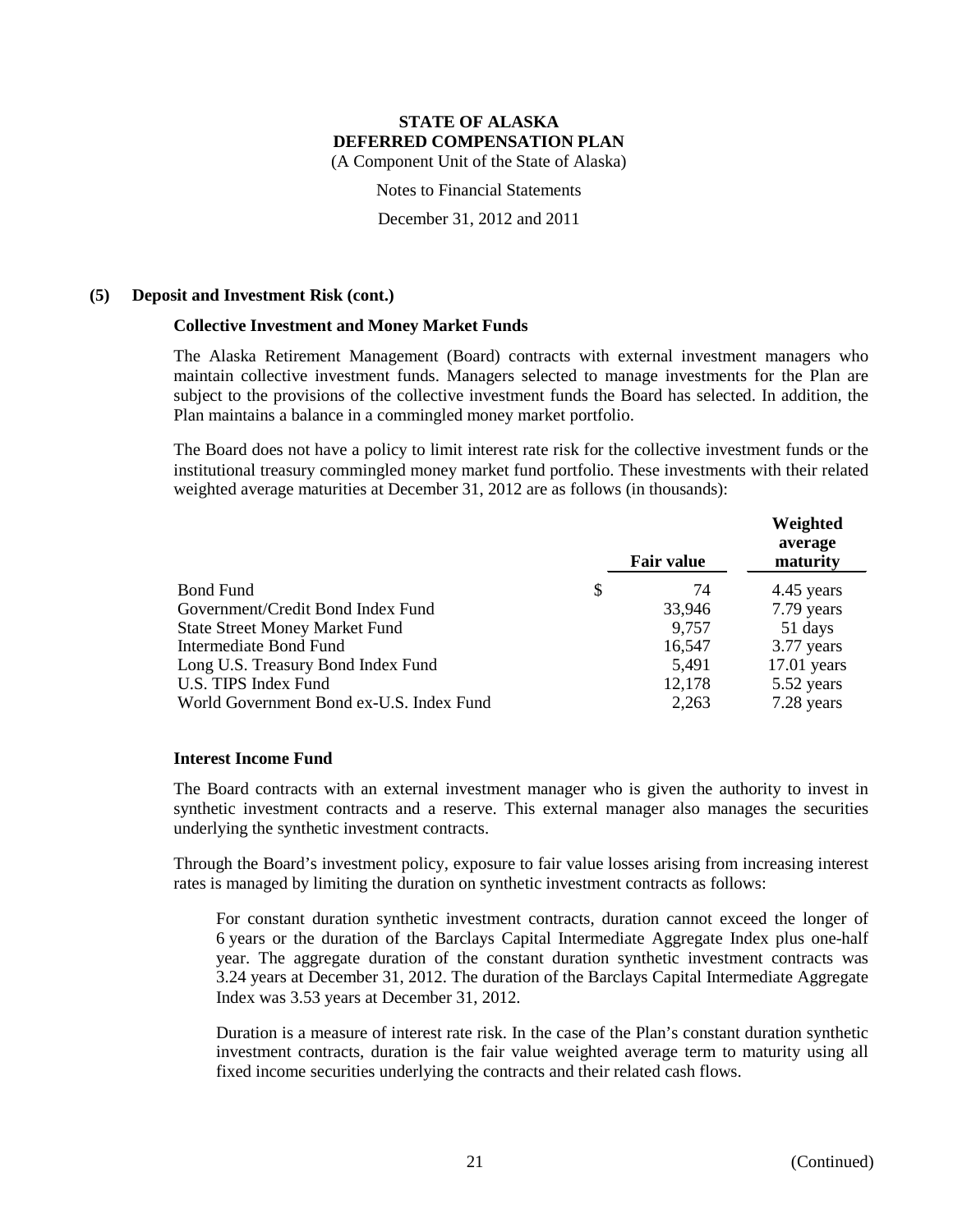(A Component Unit of the State of Alaska)

Notes to Financial Statements

December 31, 2012 and 2011

## **(5) Deposit and Investment Risk (cont.)**

## **Collective Investment and Money Market Funds**

The Alaska Retirement Management (Board) contracts with external investment managers who maintain collective investment funds. Managers selected to manage investments for the Plan are subject to the provisions of the collective investment funds the Board has selected. In addition, the Plan maintains a balance in a commingled money market portfolio.

The Board does not have a policy to limit interest rate risk for the collective investment funds or the institutional treasury commingled money market fund portfolio. These investments with their related weighted average maturities at December 31, 2012 are as follows (in thousands):

| <b>Fair value</b> | Weighted<br>average<br>maturity |
|-------------------|---------------------------------|
| 74                | 4.45 years                      |
| 33,946            | 7.79 years                      |
| 9,757             | 51 days                         |
| 16,547            | 3.77 years                      |
| 5,491             | $17.01$ years                   |
| 12,178            | 5.52 years                      |
| 2,263             | 7.28 years                      |
|                   |                                 |

#### **Interest Income Fund**

The Board contracts with an external investment manager who is given the authority to invest in synthetic investment contracts and a reserve. This external manager also manages the securities underlying the synthetic investment contracts.

Through the Board's investment policy, exposure to fair value losses arising from increasing interest rates is managed by limiting the duration on synthetic investment contracts as follows:

For constant duration synthetic investment contracts, duration cannot exceed the longer of 6 years or the duration of the Barclays Capital Intermediate Aggregate Index plus one-half year. The aggregate duration of the constant duration synthetic investment contracts was 3.24 years at December 31, 2012. The duration of the Barclays Capital Intermediate Aggregate Index was 3.53 years at December 31, 2012.

Duration is a measure of interest rate risk. In the case of the Plan's constant duration synthetic investment contracts, duration is the fair value weighted average term to maturity using all fixed income securities underlying the contracts and their related cash flows.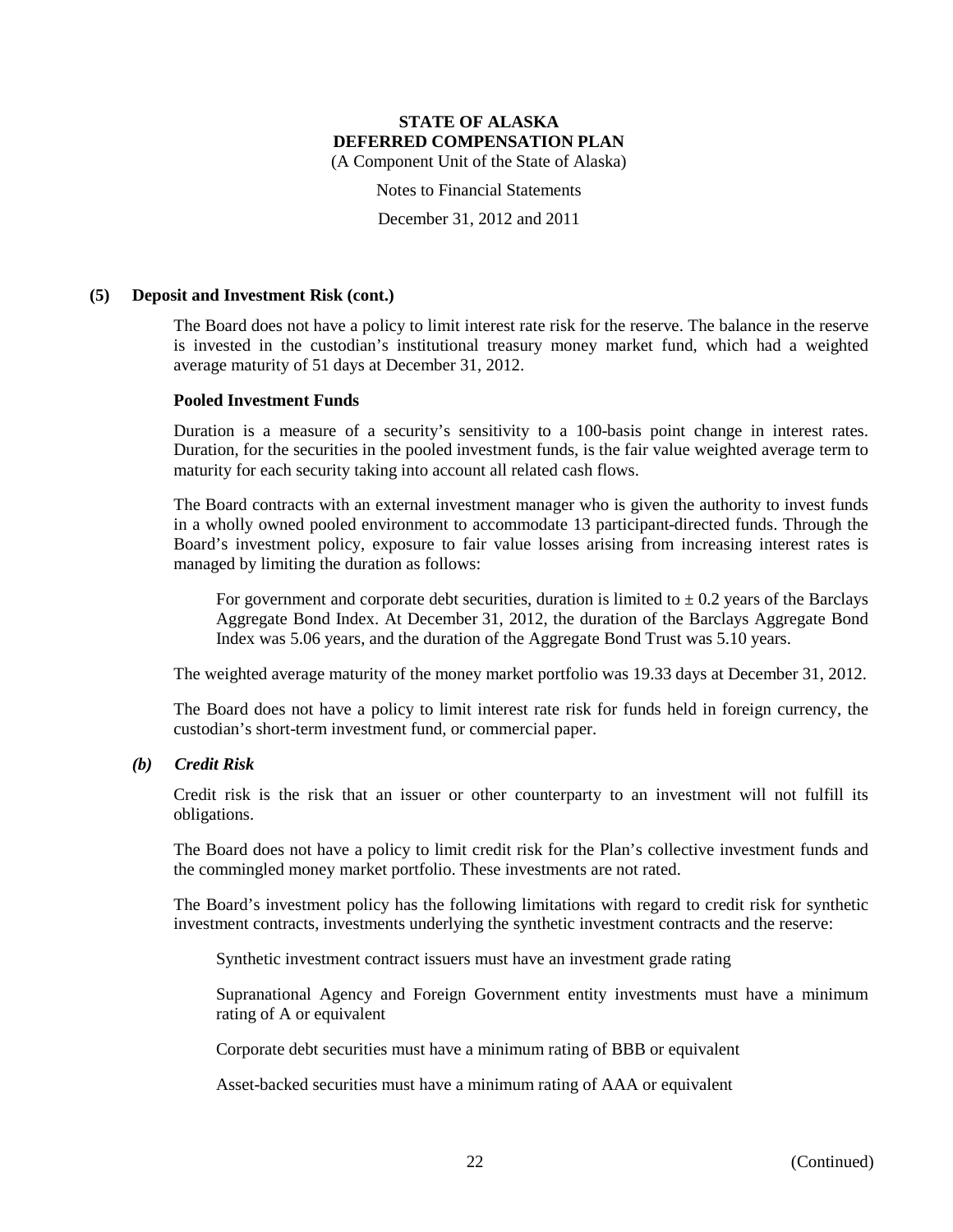(A Component Unit of the State of Alaska)

Notes to Financial Statements

December 31, 2012 and 2011

#### **(5) Deposit and Investment Risk (cont.)**

The Board does not have a policy to limit interest rate risk for the reserve. The balance in the reserve is invested in the custodian's institutional treasury money market fund, which had a weighted average maturity of 51 days at December 31, 2012.

#### **Pooled Investment Funds**

Duration is a measure of a security's sensitivity to a 100-basis point change in interest rates. Duration, for the securities in the pooled investment funds, is the fair value weighted average term to maturity for each security taking into account all related cash flows.

The Board contracts with an external investment manager who is given the authority to invest funds in a wholly owned pooled environment to accommodate 13 participant-directed funds. Through the Board's investment policy, exposure to fair value losses arising from increasing interest rates is managed by limiting the duration as follows:

For government and corporate debt securities, duration is limited to  $\pm$  0.2 years of the Barclays Aggregate Bond Index. At December 31, 2012, the duration of the Barclays Aggregate Bond Index was 5.06 years, and the duration of the Aggregate Bond Trust was 5.10 years.

The weighted average maturity of the money market portfolio was 19.33 days at December 31, 2012.

The Board does not have a policy to limit interest rate risk for funds held in foreign currency, the custodian's short-term investment fund, or commercial paper.

## *(b) Credit Risk*

Credit risk is the risk that an issuer or other counterparty to an investment will not fulfill its obligations.

The Board does not have a policy to limit credit risk for the Plan's collective investment funds and the commingled money market portfolio. These investments are not rated.

The Board's investment policy has the following limitations with regard to credit risk for synthetic investment contracts, investments underlying the synthetic investment contracts and the reserve:

Synthetic investment contract issuers must have an investment grade rating

Supranational Agency and Foreign Government entity investments must have a minimum rating of A or equivalent

Corporate debt securities must have a minimum rating of BBB or equivalent

Asset-backed securities must have a minimum rating of AAA or equivalent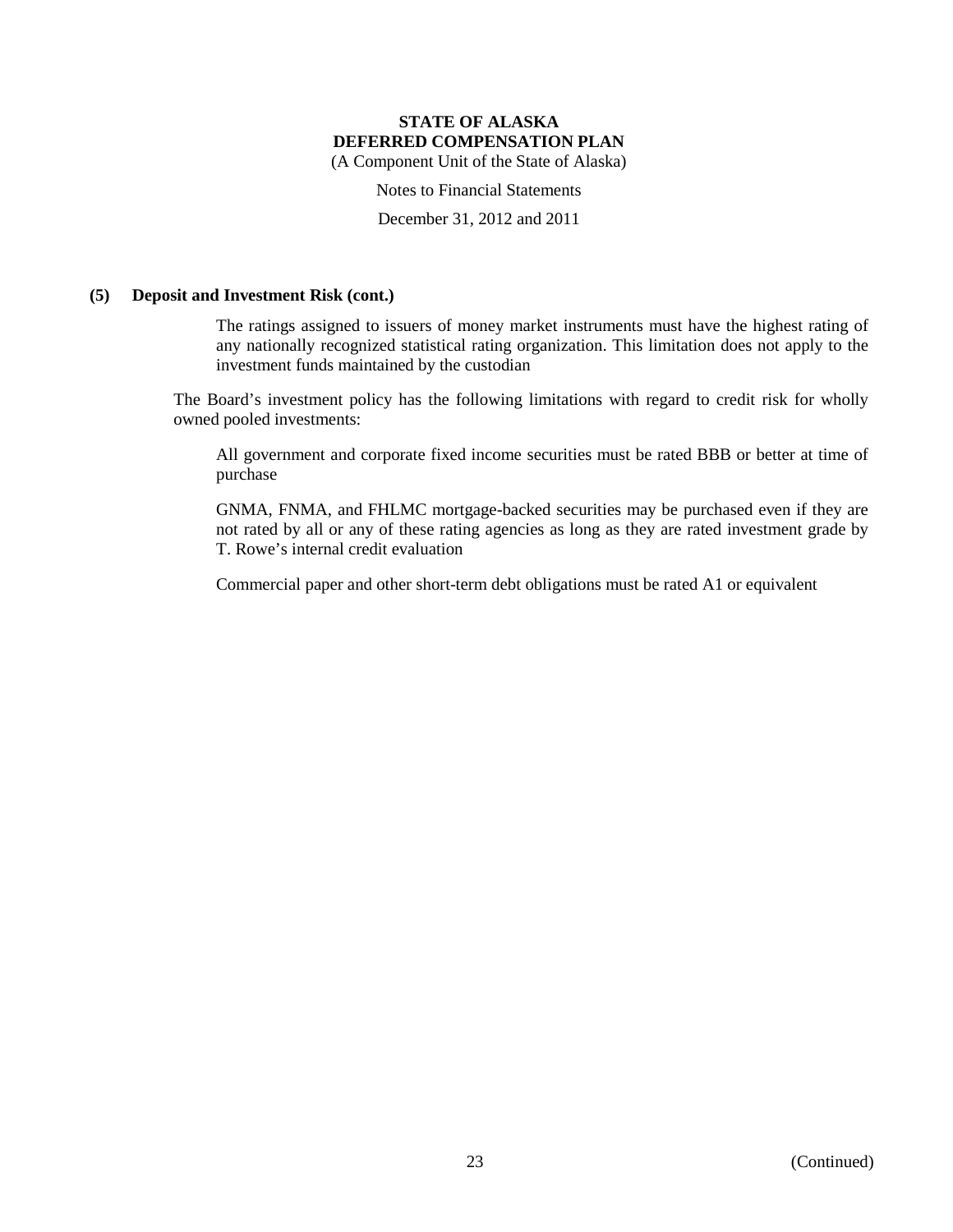(A Component Unit of the State of Alaska)

Notes to Financial Statements

December 31, 2012 and 2011

#### **(5) Deposit and Investment Risk (cont.)**

The ratings assigned to issuers of money market instruments must have the highest rating of any nationally recognized statistical rating organization. This limitation does not apply to the investment funds maintained by the custodian

The Board's investment policy has the following limitations with regard to credit risk for wholly owned pooled investments:

All government and corporate fixed income securities must be rated BBB or better at time of purchase

GNMA, FNMA, and FHLMC mortgage-backed securities may be purchased even if they are not rated by all or any of these rating agencies as long as they are rated investment grade by T. Rowe's internal credit evaluation

Commercial paper and other short-term debt obligations must be rated A1 or equivalent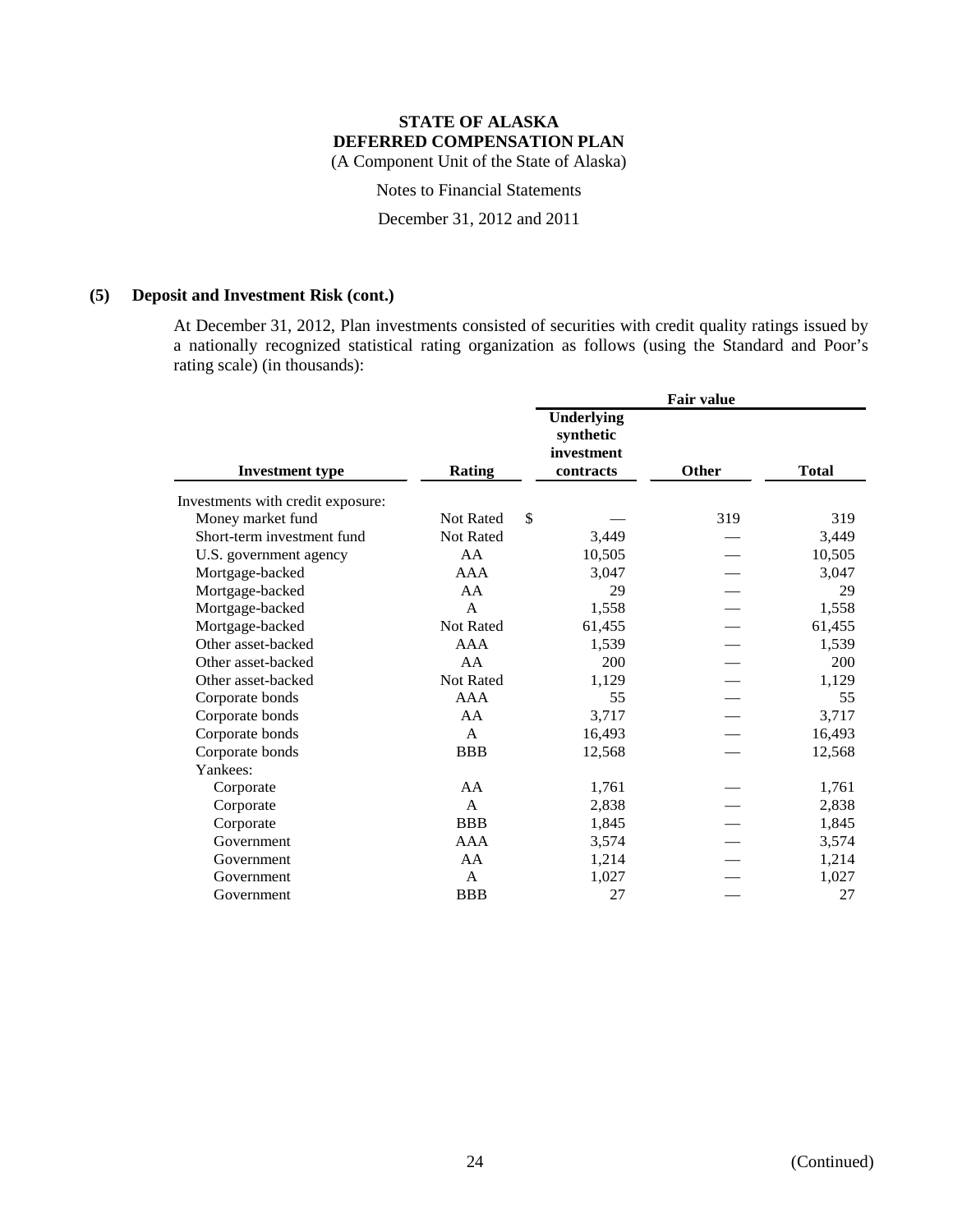Notes to Financial Statements

December 31, 2012 and 2011

## **(5) Deposit and Investment Risk (cont.)**

At December 31, 2012, Plan investments consisted of securities with credit quality ratings issued by a nationally recognized statistical rating organization as follows (using the Standard and Poor's rating scale) (in thousands):

|                                   |                  | <b>Fair value</b>                                         |              |              |  |
|-----------------------------------|------------------|-----------------------------------------------------------|--------------|--------------|--|
| <b>Investment type</b>            | <b>Rating</b>    | <b>Underlying</b><br>synthetic<br>investment<br>contracts | <b>Other</b> | <b>Total</b> |  |
| Investments with credit exposure: |                  |                                                           |              |              |  |
| Money market fund                 | <b>Not Rated</b> | \$                                                        | 319          | 319          |  |
| Short-term investment fund        | <b>Not Rated</b> | 3,449                                                     |              | 3,449        |  |
| U.S. government agency            | AA               | 10,505                                                    |              | 10,505       |  |
| Mortgage-backed                   | <b>AAA</b>       | 3,047                                                     |              | 3,047        |  |
| Mortgage-backed                   | AA               | 29                                                        |              | 29           |  |
| Mortgage-backed                   | $\mathsf{A}$     | 1,558                                                     |              | 1,558        |  |
| Mortgage-backed                   | Not Rated        | 61,455                                                    |              | 61,455       |  |
| Other asset-backed                | <b>AAA</b>       | 1,539                                                     |              | 1,539        |  |
| Other asset-backed                | AA               | 200                                                       |              | 200          |  |
| Other asset-backed                | Not Rated        | 1,129                                                     |              | 1,129        |  |
| Corporate bonds                   | <b>AAA</b>       | 55                                                        |              | 55           |  |
| Corporate bonds                   | AA               | 3,717                                                     |              | 3,717        |  |
| Corporate bonds                   | $\mathsf{A}$     | 16,493                                                    |              | 16,493       |  |
| Corporate bonds                   | <b>BBB</b>       | 12,568                                                    |              | 12,568       |  |
| Yankees:                          |                  |                                                           |              |              |  |
| Corporate                         | AA               | 1,761                                                     |              | 1,761        |  |
| Corporate                         | A                | 2,838                                                     |              | 2,838        |  |
| Corporate                         | <b>BBB</b>       | 1,845                                                     |              | 1,845        |  |
| Government                        | <b>AAA</b>       | 3,574                                                     |              | 3,574        |  |
| Government                        | AA               | 1,214                                                     |              | 1,214        |  |
| Government                        | A                | 1,027                                                     |              | 1,027        |  |
| Government                        | <b>BBB</b>       | 27                                                        |              | 27           |  |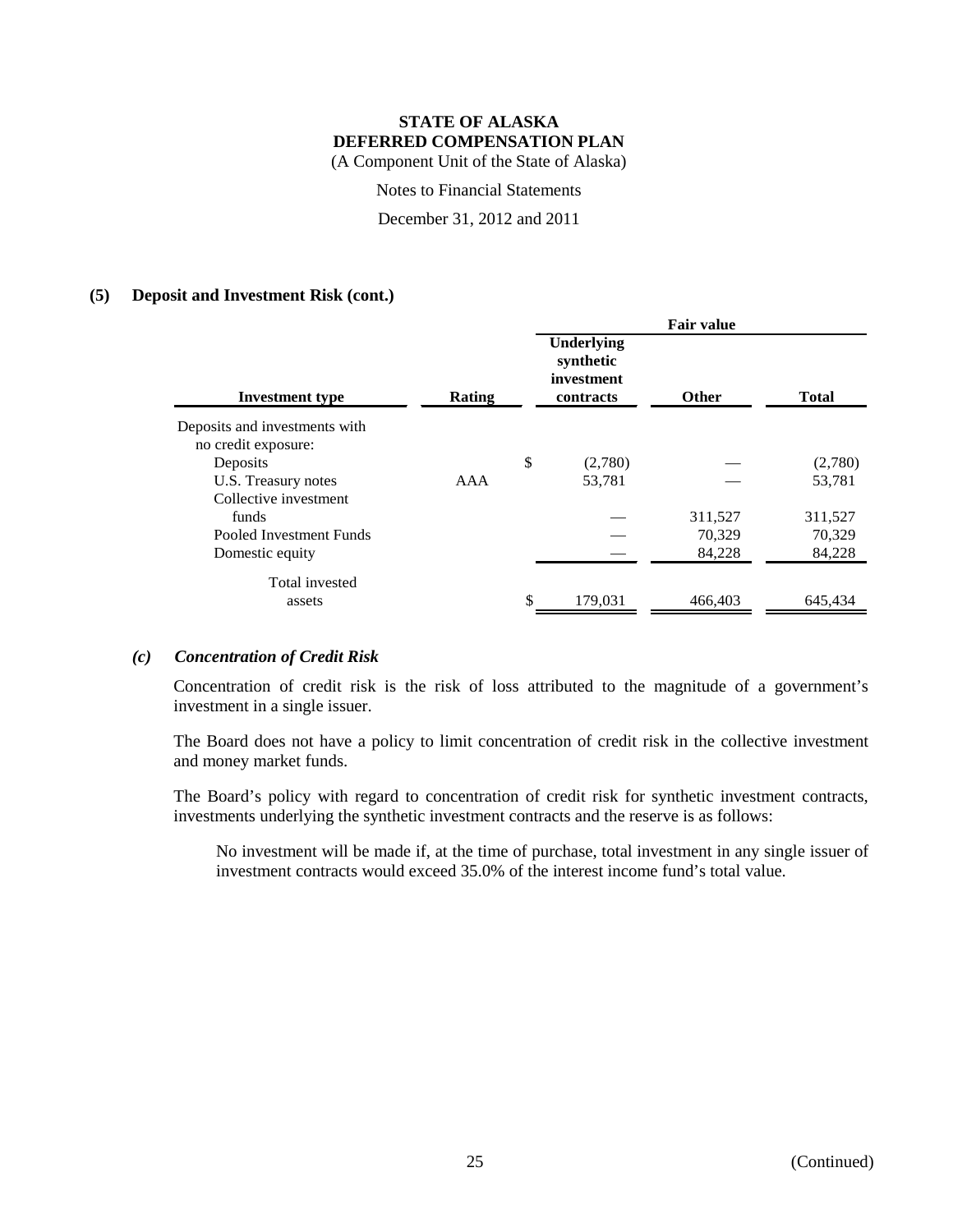(A Component Unit of the State of Alaska)

Notes to Financial Statements

December 31, 2012 and 2011

## **(5) Deposit and Investment Risk (cont.)**

|                               |        | <b>Fair value</b>                                  |              |              |  |
|-------------------------------|--------|----------------------------------------------------|--------------|--------------|--|
| <b>Investment</b> type        | Rating | Underlying<br>synthetic<br>investment<br>contracts | <b>Other</b> | <b>Total</b> |  |
| Deposits and investments with |        |                                                    |              |              |  |
| no credit exposure:           |        |                                                    |              |              |  |
| Deposits                      |        | \$<br>(2,780)                                      |              | (2,780)      |  |
| U.S. Treasury notes           | AAA    | 53,781                                             |              | 53,781       |  |
| Collective investment         |        |                                                    |              |              |  |
| funds                         |        |                                                    | 311,527      | 311,527      |  |
| Pooled Investment Funds       |        |                                                    | 70,329       | 70,329       |  |
| Domestic equity               |        |                                                    | 84,228       | 84,228       |  |
| Total invested                |        |                                                    |              |              |  |
| assets                        |        | \$<br>179,031                                      | 466,403      | 645,434      |  |

#### *(c) Concentration of Credit Risk*

Concentration of credit risk is the risk of loss attributed to the magnitude of a government's investment in a single issuer.

The Board does not have a policy to limit concentration of credit risk in the collective investment and money market funds.

The Board's policy with regard to concentration of credit risk for synthetic investment contracts, investments underlying the synthetic investment contracts and the reserve is as follows:

No investment will be made if, at the time of purchase, total investment in any single issuer of investment contracts would exceed 35.0% of the interest income fund's total value.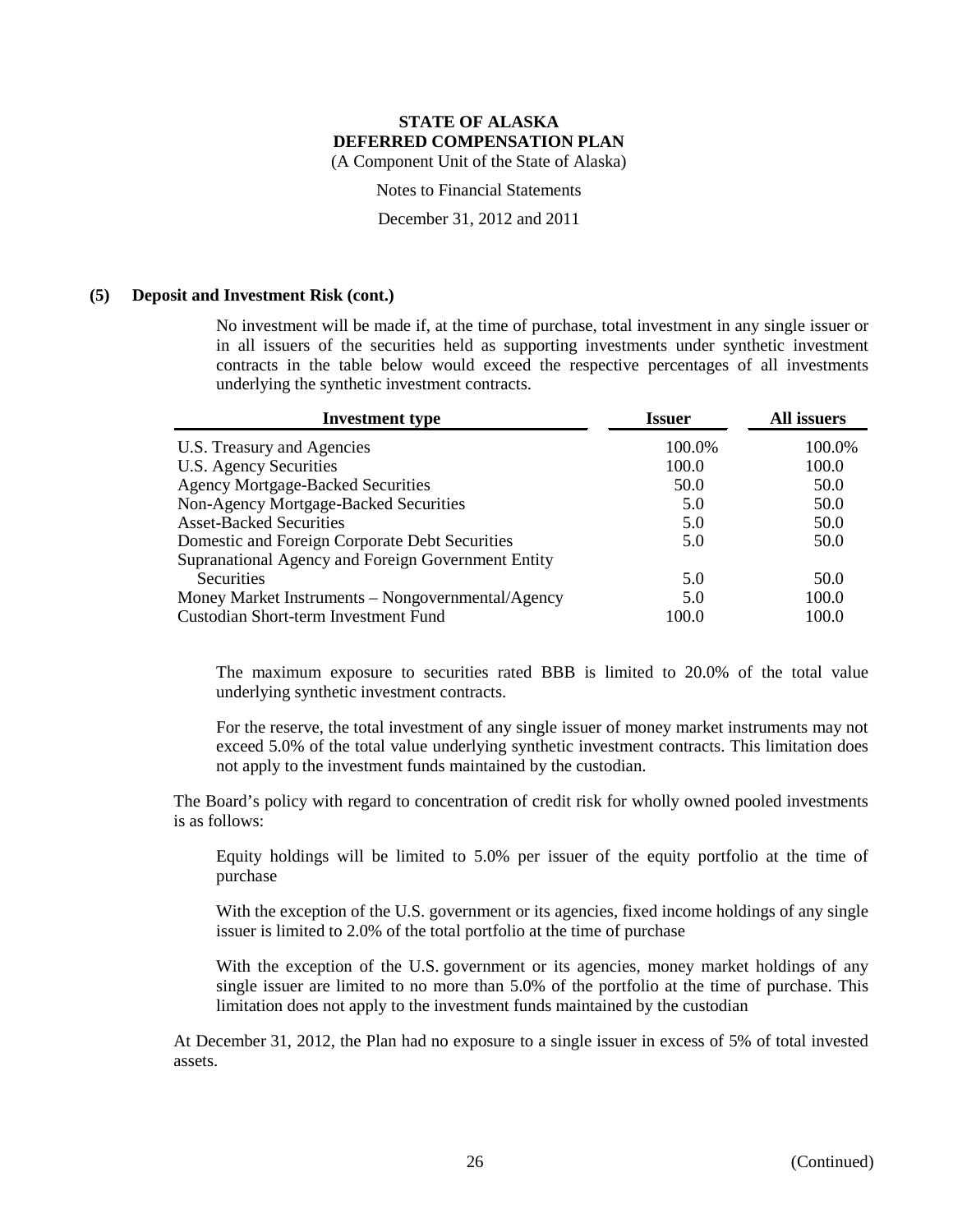(A Component Unit of the State of Alaska)

Notes to Financial Statements

December 31, 2012 and 2011

#### **(5) Deposit and Investment Risk (cont.)**

No investment will be made if, at the time of purchase, total investment in any single issuer or in all issuers of the securities held as supporting investments under synthetic investment contracts in the table below would exceed the respective percentages of all investments underlying the synthetic investment contracts.

| <b>Investment type</b>                             | <b>Issuer</b> | All issuers |
|----------------------------------------------------|---------------|-------------|
| U.S. Treasury and Agencies                         | 100.0%        | 100.0%      |
| U.S. Agency Securities                             | 100.0         | 100.0       |
| <b>Agency Mortgage-Backed Securities</b>           | 50.0          | 50.0        |
| Non-Agency Mortgage-Backed Securities              | 5.0           | 50.0        |
| <b>Asset-Backed Securities</b>                     | 5.0           | 50.0        |
| Domestic and Foreign Corporate Debt Securities     | 5.0           | 50.0        |
| Supranational Agency and Foreign Government Entity |               |             |
| <b>Securities</b>                                  | 5.0           | 50.0        |
| Money Market Instruments - Nongovernmental/Agency  | 5.0           | 100.0       |
| Custodian Short-term Investment Fund               | 100.0         | 100.0       |

The maximum exposure to securities rated BBB is limited to 20.0% of the total value underlying synthetic investment contracts.

For the reserve, the total investment of any single issuer of money market instruments may not exceed 5.0% of the total value underlying synthetic investment contracts. This limitation does not apply to the investment funds maintained by the custodian.

The Board's policy with regard to concentration of credit risk for wholly owned pooled investments is as follows:

Equity holdings will be limited to 5.0% per issuer of the equity portfolio at the time of purchase

With the exception of the U.S. government or its agencies, fixed income holdings of any single issuer is limited to 2.0% of the total portfolio at the time of purchase

With the exception of the U.S. government or its agencies, money market holdings of any single issuer are limited to no more than 5.0% of the portfolio at the time of purchase. This limitation does not apply to the investment funds maintained by the custodian

At December 31, 2012, the Plan had no exposure to a single issuer in excess of 5% of total invested assets.